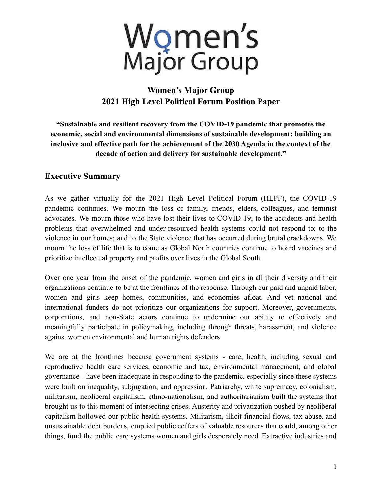

# **Women's Major Group 2021 High Level Political Forum Position Paper**

**"Sustainable and resilient recovery from the COVID-19 pandemic that promotes the economic, social and environmental dimensions of sustainable development: building an inclusive and effective path for the achievement of the 2030 Agenda in the context of the decade of action and delivery for sustainable development."**

# **Executive Summary**

As we gather virtually for the 2021 High Level Political Forum (HLPF), the COVID-19 pandemic continues. We mourn the loss of family, friends, elders, colleagues, and feminist advocates. We mourn those who have lost their lives to COVID-19; to the accidents and health problems that overwhelmed and under-resourced health systems could not respond to; to the violence in our homes; and to the State violence that has occurred during brutal crackdowns. We mourn the loss of life that is to come as Global North countries continue to hoard vaccines and prioritize intellectual property and profits over lives in the Global South.

Over one year from the onset of the pandemic, women and girls in all their diversity and their organizations continue to be at the frontlines of the response. Through our paid and unpaid labor, women and girls keep homes, communities, and economies afloat. And yet national and international funders do not prioritize our organizations for support. Moreover, governments, corporations, and non-State actors continue to undermine our ability to effectively and meaningfully participate in policymaking, including through threats, harassment, and violence against women environmental and human rights defenders.

We are at the frontlines because government systems - care, health, including sexual and reproductive health care services, economic and tax, environmental management, and global governance - have been inadequate in responding to the pandemic, especially since these systems were built on inequality, subjugation, and oppression. Patriarchy, white supremacy, colonialism, militarism, neoliberal capitalism, ethno-nationalism, and authoritarianism built the systems that brought us to this moment of intersecting crises. Austerity and privatization pushed by neoliberal capitalism hollowed our public health systems. Militarism, illicit financial flows, tax abuse, and unsustainable debt burdens, emptied public coffers of valuable resources that could, among other things, fund the public care systems women and girls desperately need. Extractive industries and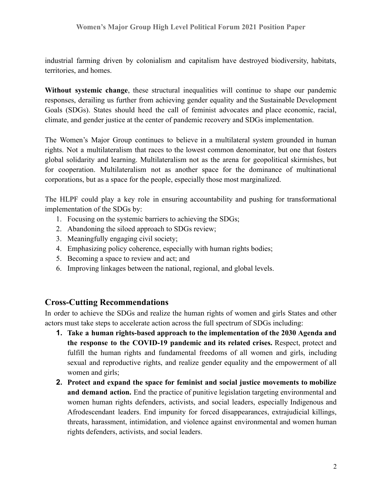industrial farming driven by colonialism and capitalism have destroyed biodiversity, habitats, territories, and homes.

**Without systemic change**, these structural inequalities will continue to shape our pandemic responses, derailing us further from achieving gender equality and the Sustainable Development Goals (SDGs). States should heed the call of feminist advocates and place economic, racial, climate, and gender justice at the center of pandemic recovery and SDGs implementation.

The Women's Major Group continues to believe in a multilateral system grounded in human rights. Not a multilateralism that races to the lowest common denominator, but one that fosters global solidarity and learning. Multilateralism not as the arena for geopolitical skirmishes, but for cooperation. Multilateralism not as another space for the dominance of multinational corporations, but as a space for the people, especially those most marginalized.

The HLPF could play a key role in ensuring accountability and pushing for transformational implementation of the SDGs by:

- 1. Focusing on the systemic barriers to achieving the SDGs;
- 2. Abandoning the siloed approach to SDGs review;
- 3. Meaningfully engaging civil society;
- 4. Emphasizing policy coherence, especially with human rights bodies;
- 5. Becoming a space to review and act; and
- 6. Improving linkages between the national, regional, and global levels.

#### **Cross-Cutting Recommendations**

In order to achieve the SDGs and realize the human rights of women and girls States and other actors must take steps to accelerate action across the full spectrum of SDGs including:

- **1. Take a human rights-based approach to the implementation of the 2030 Agenda and the response to the COVID-19 pandemic and its related crises.** Respect, protect and fulfill the human rights and fundamental freedoms of all women and girls, including sexual and reproductive rights, and realize gender equality and the empowerment of all women and girls;
- **2. Protect and expand the space for feminist and social justice movements to mobilize and demand action.** End the practice of punitive legislation targeting environmental and women human rights defenders, activists, and social leaders, especially Indigenous and Afrodescendant leaders. End impunity for forced disappearances, extrajudicial killings, threats, harassment, intimidation, and violence against environmental and women human rights defenders, activists, and social leaders.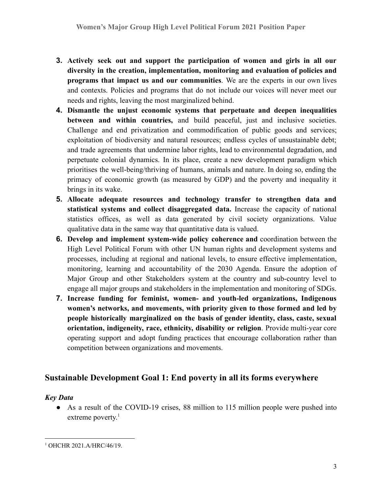- **3. Actively seek out and support the participation of women and girls in all our diversity in the creation, implementation, monitoring and evaluation of policies and programs that impact us and our communities**. We are the experts in our own lives and contexts. Policies and programs that do not include our voices will never meet our needs and rights, leaving the most marginalized behind.
- **4. Dismantle the unjust economic systems that perpetuate and deepen inequalities between and within countries,** and build peaceful, just and inclusive societies. Challenge and end privatization and commodification of public goods and services; exploitation of biodiversity and natural resources; endless cycles of unsustainable debt; and trade agreements that undermine labor rights, lead to environmental degradation, and perpetuate colonial dynamics. In its place, create a new development paradigm which prioritises the well-being/thriving of humans, animals and nature. In doing so, ending the primacy of economic growth (as measured by GDP) and the poverty and inequality it brings in its wake.
- **5. Allocate adequate resources and technology transfer to strengthen data and statistical systems and collect disaggregated data.** Increase the capacity of national statistics offices, as well as data generated by civil society organizations. Value qualitative data in the same way that quantitative data is valued.
- **6. Develop and implement system-wide policy coherence and** coordination between the High Level Political Forum with other UN human rights and development systems and processes, including at regional and national levels, to ensure effective implementation, monitoring, learning and accountability of the 2030 Agenda. Ensure the adoption of Major Group and other Stakeholders system at the country and sub-country level to engage all major groups and stakeholders in the implementation and monitoring of SDGs.
- **7. Increase funding for feminist, women- and youth-led organizations, Indigenous women's networks, and movements, with priority given to those formed and led by people historically marginalized on the basis of gender identity, class, caste, sexual orientation, indigeneity, race, ethnicity, disability or religion**. Provide multi-year core operating support and adopt funding practices that encourage collaboration rather than competition between organizations and movements.

# **Sustainable Development Goal 1: End poverty in all its forms everywhere**

#### *Key Data*

• As a result of the COVID-19 crises, 88 million to 115 million people were pushed into extreme poverty.<sup>1</sup>

<sup>&</sup>lt;sup>1</sup> OHCHR 2021.A/HRC/46/19.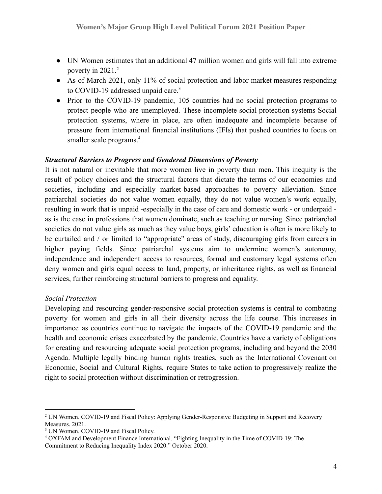- UN Women estimates that an additional 47 million women and girls will fall into extreme poverty in 2021.<sup>2</sup>
- As of March 2021, only 11% of social protection and labor market measures responding to COVID-19 addressed unpaid care.<sup>3</sup>
- Prior to the COVID-19 pandemic, 105 countries had no social protection programs to protect people who are unemployed. These incomplete social protection systems Social protection systems, where in place, are often inadequate and incomplete because of pressure from international financial institutions (IFIs) that pushed countries to focus on smaller scale programs.<sup>4</sup>

#### *Structural Barriers to Progress and Gendered Dimensions of Poverty*

It is not natural or inevitable that more women live in poverty than men. This inequity is the result of policy choices and the structural factors that dictate the terms of our economies and societies, including and especially market-based approaches to poverty alleviation. Since patriarchal societies do not value women equally, they do not value women's work equally, resulting in work that is unpaid -especially in the case of care and domestic work - or underpaid as is the case in professions that women dominate, such as teaching or nursing. Since patriarchal societies do not value girls as much as they value boys, girls' education is often is more likely to be curtailed and / or limited to "appropriate'' areas of study, discouraging girls from careers in higher paying fields. Since patriarchal systems aim to undermine women's autonomy, independence and independent access to resources, formal and customary legal systems often deny women and girls equal access to land, property, or inheritance rights, as well as financial services, further reinforcing structural barriers to progress and equality.

#### *Social Protection*

Developing and resourcing gender-responsive social protection systems is central to combating poverty for women and girls in all their diversity across the life course. This increases in importance as countries continue to navigate the impacts of the COVID-19 pandemic and the health and economic crises exacerbated by the pandemic. Countries have a variety of obligations for creating and resourcing adequate social protection programs, including and beyond the 2030 Agenda. Multiple legally binding human rights treaties, such as the International Covenant on Economic, Social and Cultural Rights, require States to take action to progressively realize the right to social protection without discrimination or retrogression.

<sup>&</sup>lt;sup>2</sup> UN Women. COVID-19 and Fiscal Policy: Applying Gender-Responsive Budgeting in Support and Recovery Measures. 2021.

<sup>&</sup>lt;sup>3</sup> UN Women. COVID-19 and Fiscal Policy.

<sup>4</sup> OXFAM and Development Finance International. "Fighting Inequality in the Time of COVID-19: The Commitment to Reducing Inequality Index 2020." October 2020.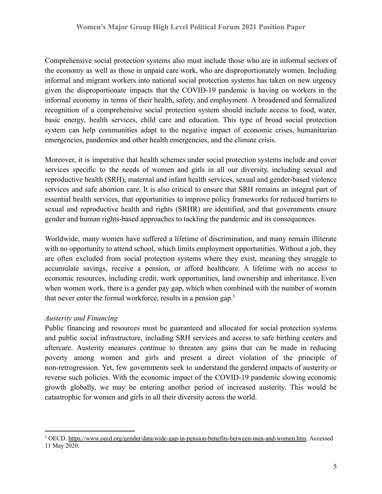Comprehensive social protection systems also must include those who are in informal sectors of the economy as well as those in unpaid care work, who are disproportionately women. Including informal and migrant workers into national social protection systems has taken on new urgency given the disproportionate impacts that the COVID-19 pandemic is having on workers in the informal economy in terms of their health, safety, and employment. A broadened and formalized recognition of a comprehensive social protection system should include access to food, water, basic energy, health services, child care and education. This type of broad social protection system can help communities adapt to the negative impact of economic crises, humanitarian emergencies, pandemics and other health emergencies, and the climate crisis.

Moreover, it is imperative that health schemes under social protection systems include and cover services specific to the needs of women and girls in all our diversity, including sexual and reproductive health (SRH), maternal and infant health services, sexual and gender-based violence services and safe abortion care. It is also critical to ensure that SRH remains an integral part of essential health services, that opportunities to improve policy frameworks for reduced barriers to sexual and reproductive health and rights (SRHR) are identified, and that governments ensure gender and human rights-based approaches to tackling the pandemic and its consequences.

Worldwide, many women have suffered a lifetime of discrimination, and many remain illiterate with no opportunity to attend school, which limits employment opportunities. Without a job, they are often excluded from social protection systems where they exist, meaning they struggle to accumulate savings, receive a pension, or afford healthcare. A lifetime with no access to economic resources, including credit, work opportunities, land ownership and inheritance. Even when women work, there is a gender pay gap, which when combined with the number of women that never enter the formal workforce, results in a pension gap.<sup>5</sup>

#### *Austerity and Financing*

Public financing and resources must be guaranteed and allocated for social protection systems and public social infrastructure, including SRH services and access to safe birthing centers and aftercare. Austerity measures continue to threaten any gains that can be made in reducing poverty among women and girls and present a direct violation of the principle of non-retrogression. Yet, few governments seek to understand the gendered impacts of austerity or reverse such policies. With the economic impact of the COVID-19 pandemic slowing economic growth globally, we may be entering another period of increased austerity. This would be catastrophic for women and girls in all their diversity across the world.

<sup>5</sup> OECD. <https://www.oecd.org/gender/data/wide-gap-in-pension-benefits-between-men-and-women.htm>. Accessed 11 May 2020.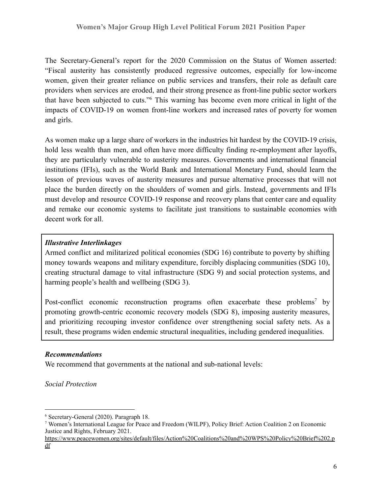The Secretary-General's report for the 2020 Commission on the Status of Women asserted: "Fiscal austerity has consistently produced regressive outcomes, especially for low-income women, given their greater reliance on public services and transfers, their role as default care providers when services are eroded, and their strong presence as front-line public sector workers that have been subjected to cuts."<sup>6</sup> This warning has become even more critical in light of the impacts of COVID-19 on women front-line workers and increased rates of poverty for women and girls.

As women make up a large share of workers in the industries hit hardest by the COVID-19 crisis, hold less wealth than men, and often have more difficulty finding re-employment after layoffs, they are particularly vulnerable to austerity measures. Governments and international financial institutions (IFIs), such as the World Bank and International Monetary Fund, should learn the lesson of previous waves of austerity measures and pursue alternative processes that will not place the burden directly on the shoulders of women and girls. Instead, governments and IFIs must develop and resource COVID-19 response and recovery plans that center care and equality and remake our economic systems to facilitate just transitions to sustainable economies with decent work for all.

#### *Illustrative Interlinkages*

Armed conflict and militarized political economies (SDG 16) contribute to poverty by shifting money towards weapons and military expenditure, forcibly displacing communities (SDG 10), creating structural damage to vital infrastructure (SDG 9) and social protection systems, and harming people's health and wellbeing (SDG 3).

Post-conflict economic reconstruction programs often exacerbate these problems<sup>7</sup> by promoting growth-centric economic recovery models (SDG 8), imposing austerity measures, and prioritizing recouping investor confidence over strengthening social safety nets. As a result, these programs widen endemic structural inequalities, including gendered inequalities.

#### *Recommendations*

We recommend that governments at the national and sub-national levels:

*Social Protection*

<sup>6</sup> Secretary-General (2020). Paragraph 18.

<sup>7</sup> Women's International League for Peace and Freedom (WILPF), Policy Brief: Action Coalition 2 on Economic Justice and Rights, February 2021.

[https://www.peacewomen.org/sites/default/files/Action%20Coalitions%20and%20WPS%20Policy%20Brief%202.p](https://www.peacewomen.org/sites/default/files/Action%20Coalitions%20and%20WPS%20Policy%20Brief%202.pdf) [df](https://www.peacewomen.org/sites/default/files/Action%20Coalitions%20and%20WPS%20Policy%20Brief%202.pdf)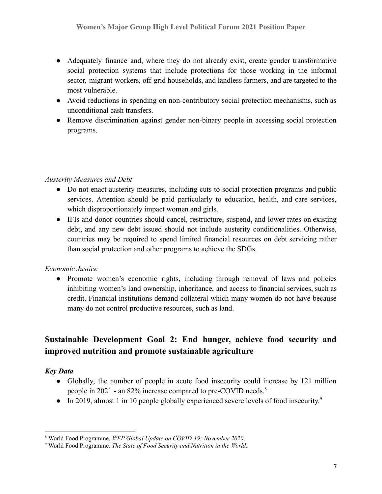- Adequately finance and, where they do not already exist, create gender transformative social protection systems that include protections for those working in the informal sector, migrant workers, off-grid households, and landless farmers, and are targeted to the most vulnerable.
- Avoid reductions in spending on non-contributory social protection mechanisms, such as unconditional cash transfers.
- Remove discrimination against gender non-binary people in accessing social protection programs.

#### *Austerity Measures and Debt*

- Do not enact austerity measures, including cuts to social protection programs and public services. Attention should be paid particularly to education, health, and care services, which disproportionately impact women and girls.
- IFIs and donor countries should cancel, restructure, suspend, and lower rates on existing debt, and any new debt issued should not include austerity conditionalities. Otherwise, countries may be required to spend limited financial resources on debt servicing rather than social protection and other programs to achieve the SDGs.

#### *Economic Justice*

• Promote women's economic rights, including through removal of laws and policies inhibiting women's land ownership, inheritance, and access to financial services, such as credit. Financial institutions demand collateral which many women do not have because many do not control productive resources, such as land.

# **Sustainable Development Goal 2: End hunger, achieve food security and improved nutrition and promote sustainable agriculture**

#### *Key Data*

- Globally, the number of people in acute food insecurity could increase by 121 million people in 2021 - an 82% increase compared to pre-COVID needs.<sup>8</sup>
- In 2019, almost 1 in 10 people globally experienced severe levels of food insecurity.<sup>9</sup>

<sup>8</sup> World Food Programme. *WFP Global Update on COVID-19: November 2020*.

<sup>9</sup> World Food Programme. *The State of Food Security and Nutrition in the World.*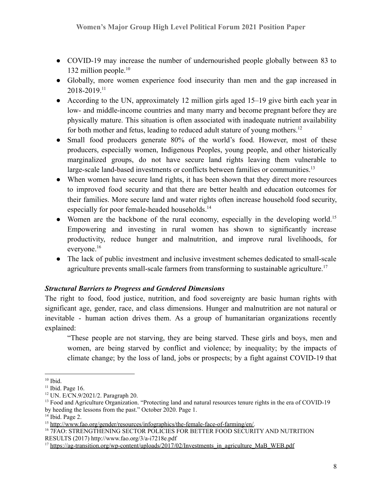- COVID-19 may increase the number of undernourished people globally between 83 to 132 million people. $10$
- Globally, more women experience food insecurity than men and the gap increased in 2018-2019.<sup>11</sup>
- According to the UN, approximately 12 million girls aged 15–19 give birth each year in low- and middle-income countries and many marry and become pregnant before they are physically mature. This situation is often associated with inadequate nutrient availability for both mother and fetus, leading to reduced adult stature of young mothers.<sup>12</sup>
- Small food producers generate 80% of the world's food. However, most of these producers, especially women, Indigenous Peoples, young people, and other historically marginalized groups, do not have secure land rights leaving them vulnerable to large-scale land-based investments or conflicts between families or communities.<sup>13</sup>
- When women have secure land rights, it has been shown that they direct more resources to improved food security and that there are better health and education outcomes for their families. More secure land and water rights often increase household food security, especially for poor female-headed households.<sup>14</sup>
- Women are the backbone of the rural economy, especially in the developing world.<sup>15</sup> Empowering and investing in rural women has shown to significantly increase productivity, reduce hunger and malnutrition, and improve rural livelihoods, for everyone.<sup>16</sup>
- The lack of public investment and inclusive investment schemes dedicated to small-scale agriculture prevents small-scale farmers from transforming to sustainable agriculture.<sup>17</sup>

#### *Structural Barriers to Progress and Gendered Dimensions*

The right to food, food justice, nutrition, and food sovereignty are basic human rights with significant age, gender, race, and class dimensions. Hunger and malnutrition are not natural or inevitable - human action drives them. As a group of humanitarian organizations recently explained:

"These people are not starving, they are being starved. These girls and boys, men and women, are being starved by conflict and violence; by inequality; by the impacts of climate change; by the loss of land, jobs or prospects; by a fight against COVID-19 that

 $10$  Ibid.

 $11$  Ibid. Page 16.

<sup>12</sup> UN. E/CN.9/2021/2. Paragraph 20.

<sup>&</sup>lt;sup>13</sup> Food and Agriculture Organization. "Protecting land and natural resources tenure rights in the era of COVID-19 by heeding the lessons from the past." October 2020. Page 1.

 $14$  Ibid. Page 2.

<sup>15</sup> [http://www.fao.org/gender/resources/infographics/the-female-face-of-farming/en/.](http://www.fao.org/gender/resources/infographics/the-female-face-of-farming/en/)

<sup>&</sup>lt;sup>16</sup> 7FAO: STRENGTHENING SECTOR POLICIES FOR BETTER FOOD SECURITY AND NUTRITION RESULTS (2017) <http://www.fao.org/3/a-i7218e.pdf>

<sup>&</sup>lt;sup>17</sup> [https://ag-transition.org/wp-content/uploads/2017/02/Investments\\_in\\_agriculture\\_MaB\\_WEB.pdf](https://ag-transition.org/wp-content/uploads/2017/02/Investments_in_agriculture_MaB_WEB.pdf)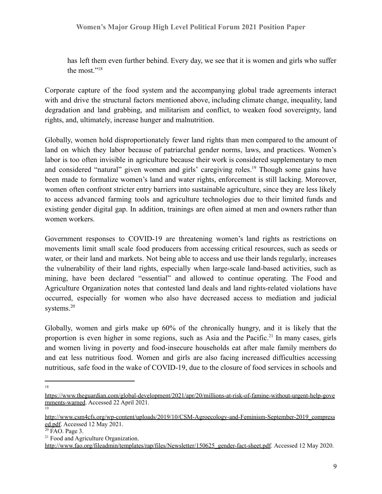has left them even further behind. Every day, we see that it is women and girls who suffer the most."<sup>18</sup>

Corporate capture of the food system and the accompanying global trade agreements interact with and drive the structural factors mentioned above, including climate change, inequality, land degradation and land grabbing, and militarism and conflict, to weaken food sovereignty, land rights, and, ultimately, increase hunger and malnutrition.

Globally, women hold disproportionately fewer land rights than men compared to the amount of land on which they labor because of patriarchal gender norms, laws, and practices. Women's labor is too often invisible in agriculture because their work is considered supplementary to men and considered "natural" given women and girls' caregiving roles.<sup>19</sup> Though some gains have been made to formalize women's land and water rights, enforcement is still lacking. Moreover, women often confront stricter entry barriers into sustainable agriculture, since they are less likely to access advanced farming tools and agriculture technologies due to their limited funds and existing gender digital gap. In addition, trainings are often aimed at men and owners rather than women workers.

Government responses to COVID-19 are threatening women's land rights as restrictions on movements limit small scale food producers from accessing critical resources, such as seeds or water, or their land and markets. Not being able to access and use their lands regularly, increases the vulnerability of their land rights, especially when large-scale land-based activities, such as mining, have been declared "essential" and allowed to continue operating. The Food and Agriculture Organization notes that contested land deals and land rights-related violations have occurred, especially for women who also have decreased access to mediation and judicial systems.<sup>20</sup>

Globally, women and girls make up 60% of the chronically hungry, and it is likely that the proportion is even higher in some regions, such as Asia and the Pacific.<sup>21</sup> In many cases, girls and women living in poverty and food-insecure households eat after male family members do and eat less nutritious food. Women and girls are also facing increased difficulties accessing nutritious, safe food in the wake of COVID-19, due to the closure of food services in schools and

18

<sup>19</sup> [https://www.theguardian.com/global-development/2021/apr/20/millions-at-risk-of-famine-without-urgent-help-gove](https://www.theguardian.com/global-development/2021/apr/20/millions-at-risk-of-famine-without-urgent-help-governments-warned) [rnments-warned.](https://www.theguardian.com/global-development/2021/apr/20/millions-at-risk-of-famine-without-urgent-help-governments-warned) Accessed 22 April 2021.

[http://www.csm4cfs.org/wp-content/uploads/2019/10/CSM-Agroecology-and-Feminism-September-2019\\_compress](http://www.csm4cfs.org/wp-content/uploads/2019/10/CSM-Agroecology-and-Feminism-September-2019_compressed.pdf) [ed.pdf](http://www.csm4cfs.org/wp-content/uploads/2019/10/CSM-Agroecology-and-Feminism-September-2019_compressed.pdf). Accessed 12 May 2021.

 $20$  FAO. Page 3.

<sup>&</sup>lt;sup>21</sup> Food and Agriculture Organization.

[http://www.fao.org/fileadmin/templates/rap/files/Newsletter/150625\\_gender-fact-sheet.pdf](http://www.fao.org/fileadmin/templates/rap/files/Newsletter/150625_gender-fact-sheet.pdf). Accessed 12 May 2020.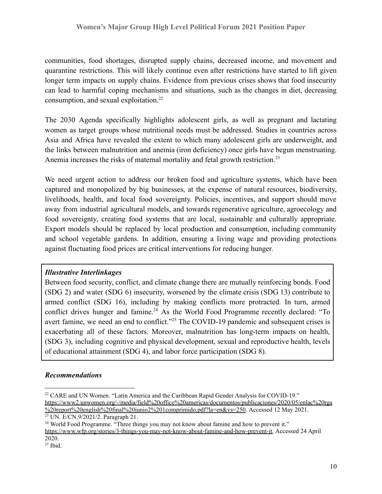communities, food shortages, disrupted supply chains, decreased income, and movement and quarantine restrictions. This will likely continue even after restrictions have started to lift given longer term impacts on supply chains. Evidence from previous crises shows that food insecurity can lead to harmful coping mechanisms and situations, such as the changes in diet, decreasing consumption, and sexual exploitation.<sup>22</sup>

The 2030 Agenda specifically highlights adolescent girls, as well as pregnant and lactating women as target groups whose nutritional needs must be addressed. Studies in countries across Asia and Africa have revealed the extent to which many adolescent girls are underweight, and the links between malnutrition and anemia (iron deficiency) once girls have begun menstruating. Anemia increases the risks of maternal mortality and fetal growth restriction.<sup>23</sup>

We need urgent action to address our broken food and agriculture systems, which have been captured and monopolized by big businesses, at the expense of natural resources, biodiversity, livelihoods, health, and local food sovereignty. Policies, incentives, and support should move away from industrial agricultural models, and towards regenerative agriculture, agroecology and food sovereignty, creating food systems that are local, sustainable and culturally appropriate. Export models should be replaced by local production and consumption, including community and school vegetable gardens. In addition, ensuring a living wage and providing protections against fluctuating food prices are critical interventions for reducing hunger.

#### *Illustrative Interlinkages*

Between food security, conflict, and climate change there are mutually reinforcing bonds. Food (SDG 2) and water (SDG 6) insecurity, worsened by the climate crisis (SDG 13) contribute to armed conflict (SDG 16), including by making conflicts more protracted. In turn, armed conflict drives hunger and famine.<sup>24</sup> As the World Food Programme recently declared: "To avert famine, we need an end to conflict."<sup>25</sup> The COVID-19 pandemic and subsequent crises is exacerbating all of these factors. Moreover, malnutrition has long-term impacts on health, (SDG 3), including cognitive and physical development, sexual and reproductive health, levels of educational attainment (SDG 4), and labor force participation (SDG 8).

#### *Recommendations*

<sup>&</sup>lt;sup>22</sup> CARE and UN Women. "Latin America and the Caribbean Rapid Gender Analysis for COVID-19." [https://www2.unwomen.org/-/media/field%20office%20americas/documentos/publicaciones/2020/05/enlac%20rga](https://www2.unwomen.org/-/media/field%20office%20americas/documentos/publicaciones/2020/05/enlac%20rga%20report%20english%20final%20junio2%201comprimido.pdf?la=en&vs=250) [%20report%20english%20final%20junio2%201comprimido.pdf?la=en&vs=250.](https://www2.unwomen.org/-/media/field%20office%20americas/documentos/publicaciones/2020/05/enlac%20rga%20report%20english%20final%20junio2%201comprimido.pdf?la=en&vs=250) Accessed 12 May 2021.

<sup>23</sup> UN. E/CN.9/2021/2. Paragraph 21.

<sup>&</sup>lt;sup>24</sup> World Food Programme. "Three things you may not know about famine and how to prevent it."

[https://www.wfp.org/stories/3-things-you-may-not-know-about-famine-and-how-prevent-it.](https://www.wfp.org/stories/3-things-you-may-not-know-about-famine-and-how-prevent-it) Accessed 24 April 2020.

<sup>25</sup> Ibid.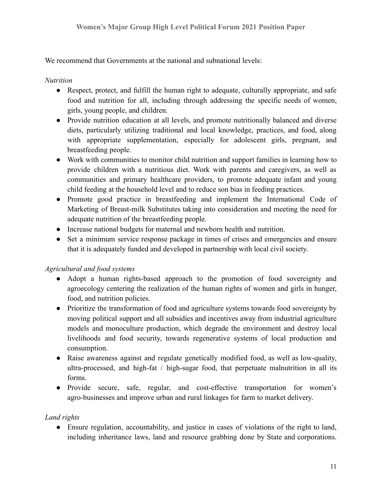We recommend that Governments at the national and subnational levels:

### *Nutrition*

- Respect, protect, and fulfill the human right to adequate, culturally appropriate, and safe food and nutrition for all, including through addressing the specific needs of women, girls, young people, and children.
- Provide nutrition education at all levels, and promote nutritionally balanced and diverse diets, particularly utilizing traditional and local knowledge, practices, and food, along with appropriate supplementation, especially for adolescent girls, pregnant, and breastfeeding people.
- Work with communities to monitor child nutrition and support families in learning how to provide children with a nutritious diet. Work with parents and caregivers, as well as communities and primary healthcare providers, to promote adequate infant and young child feeding at the household level and to reduce son bias in feeding practices.
- Promote good practice in breastfeeding and implement the International Code of Marketing of Breast-milk Substitutes taking into consideration and meeting the need for adequate nutrition of the breastfeeding people.
- Increase national budgets for maternal and newborn health and nutrition.
- Set a minimum service response package in times of crises and emergencies and ensure that it is adequately funded and developed in partnership with local civil society.

# *Agricultural and food systems*

- Adopt a human rights-based approach to the promotion of food sovereignty and agroecology centering the realization of the human rights of women and girls in hunger, food, and nutrition policies.
- Prioritize the transformation of food and agriculture systems towards food sovereignty by moving political support and all subsidies and incentives away from industrial agriculture models and monoculture production, which degrade the environment and destroy local livelihoods and food security, towards regenerative systems of local production and consumption.
- Raise awareness against and regulate genetically modified food, as well as low-quality, ultra-processed, and high-fat / high-sugar food, that perpetuate malnutrition in all its forms.
- Provide secure, safe, regular, and cost-effective transportation for women's agro-businesses and improve urban and rural linkages for farm to market delivery.

# *Land rights*

• Ensure regulation, accountability, and justice in cases of violations of the right to land, including inheritance laws, land and resource grabbing done by State and corporations.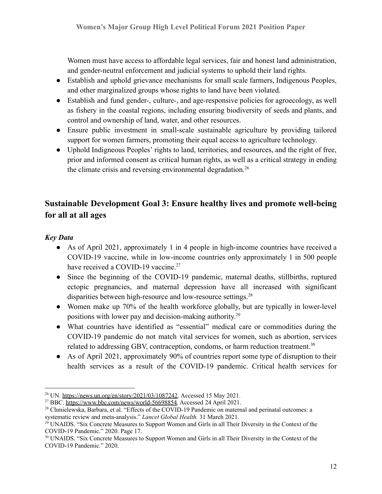Women must have access to affordable legal services, fair and honest land administration, and gender-neutral enforcement and judicial systems to uphold their land rights.

- Establish and uphold grievance mechanisms for small scale farmers, Indigenous Peoples, and other marginalized groups whose rights to land have been violated.
- Establish and fund gender-, culture-, and age-responsive policies for agroecology, as well as fishery in the coastal regions, including ensuring biodiversity of seeds and plants, and control and ownership of land, water, and other resources.
- Ensure public investment in small-scale sustainable agriculture by providing tailored support for women farmers, promoting their equal access to agriculture technology.
- Uphold Indigneous Peoples' rights to land, territories, and resources, and the right of free, prior and informed consent as critical human rights, as well as a critical strategy in ending the climate crisis and reversing environmental degradation.<sup>26</sup>

# **Sustainable Development Goal 3: Ensure healthy lives and promote well-being for all at all ages**

### *Key Data*

- As of April 2021, approximately 1 in 4 people in high-income countries have received a COVID-19 vaccine, while in low-income countries only approximately 1 in 500 people have received a COVID-19 vaccine.<sup>27</sup>
- Since the beginning of the COVID-19 pandemic, maternal deaths, stillbirths, ruptured ectopic pregnancies, and maternal depression have all increased with significant disparities between high-resource and low-resource settings.<sup>28</sup>
- Women make up 70% of the health workforce globally, but are typically in lower-level positions with lower pay and decision-making authority.<sup>29</sup>
- What countries have identified as "essential" medical care or commodities during the COVID-19 pandemic do not match vital services for women, such as abortion, services related to addressing GBV, contraception, condoms, or harm reduction treatment.<sup>30</sup>
- As of April 2021, approximately 90% of countries report some type of disruption to their health services as a result of the COVID-19 pandemic. Critical health services for

<sup>&</sup>lt;sup>26</sup> UN. [https://news.un.org/en/story/2021/03/1087242.](https://news.un.org/en/story/2021/03/1087242) Accessed 15 May 2021.

<sup>&</sup>lt;sup>27</sup> BBC. [https://www.bbc.com/news/world-56698854.](https://www.bbc.com/news/world-56698854) Accessed 24 April 2021.

<sup>28</sup> Chmielewska, Barbara, et al. "Effects of the COVID-19 Pandemic on maternal and perinatal outcomes: a systematic review and meta-analysis." *Lancet Global Health.* 31 March 2021.

<sup>&</sup>lt;sup>29</sup> UNAIDS. "Six Concrete Measures to Support Women and Girls in all Their Diversity in the Context of the COVID-19 Pandemic." 2020. Page 17.

<sup>&</sup>lt;sup>30</sup> UNAIDS. "Six Concrete Measures to Support Women and Girls in all Their Diversity in the Context of the COVID-19 Pandemic." 2020.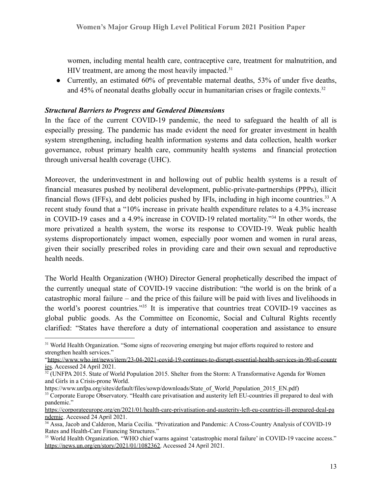women, including mental health care, contraceptive care, treatment for malnutrition, and HIV treatment, are among the most heavily impacted. $31$ 

• Currently, an estimated 60% of preventable maternal deaths, 53% of under five deaths, and  $45\%$  of neonatal deaths globally occur in humanitarian crises or fragile contexts.<sup>32</sup>

#### *Structural Barriers to Progress and Gendered Dimensions*

In the face of the current COVID-19 pandemic, the need to safeguard the health of all is especially pressing. The pandemic has made evident the need for greater investment in health system strengthening, including health information systems and data collection, health worker governance, robust primary health care, community health systems and financial protection through universal health coverage (UHC).

Moreover, the underinvestment in and hollowing out of public health systems is a result of financial measures pushed by neoliberal development, public-private-partnerships (PPPs), illicit financial flows (IFFs), and debt policies pushed by IFIs, including in high income countries.<sup>33</sup> A recent study found that a "10% increase in private health expenditure relates to a 4.3% increase in COVID-19 cases and a 4.9% increase in COVID-19 related mortality."<sup>34</sup> In other words, the more privatized a health system, the worse its response to COVID-19. Weak public health systems disproportionately impact women, especially poor women and women in rural areas, given their socially prescribed roles in providing care and their own sexual and reproductive health needs.

The World Health Organization (WHO) Director General prophetically described the impact of the currently unequal state of COVID-19 vaccine distribution: "the world is on the brink of a catastrophic moral failure – and the price of this failure will be paid with lives and livelihoods in the world's poorest countries."<sup>35</sup> It is imperative that countries treat COVID-19 vaccines as global public goods. As the Committee on Economic, Social and Cultural Rights recently clarified: "States have therefore a duty of international cooperation and assistance to ensure

<sup>&</sup>lt;sup>31</sup> World Health Organization. "Some signs of recovering emerging but major efforts required to restore and strengthen health services."

[<sup>&</sup>quot;https://www.who.int/news/item/23-04-2021-covid-19-continues-to-disrupt-essential-health-services-in-90-of-countr](https://www.who.int/news/item/23-04-2021-covid-19-continues-to-disrupt-essential-health-services-in-90-of-countries) [ies](https://www.who.int/news/item/23-04-2021-covid-19-continues-to-disrupt-essential-health-services-in-90-of-countries). Accessed 24 April 2021.

 $32$  (UNFPA 2015. State of World Population 2015. Shelter from the Storm: A Transformative Agenda for Women and Girls in a Crisis-prone World.

https://www.unfpa.org/sites/default/files/sowp/downloads/State\_of\_World\_Population\_2015\_EN.pdf)

<sup>&</sup>lt;sup>33</sup> Corporate Europe Observatory. "Health care privatisation and austerity left EU-countries ill prepared to deal with pandemic."

[https://corporateeurope.org/en/2021/01/health-care-privatisation-and-austerity-left-eu-countries-ill-prepared-deal-pa](https://corporateeurope.org/en/2021/01/health-care-privatisation-and-austerity-left-eu-countries-ill-prepared-deal-pandemic) [ndemic](https://corporateeurope.org/en/2021/01/health-care-privatisation-and-austerity-left-eu-countries-ill-prepared-deal-pandemic). Accessed 24 April 2021.

<sup>34</sup> Assa, Jacob and Calderon, Maria Cecilia. "Privatization and Pandemic: A Cross-Country Analysis of COVID-19 Rates and Health-Care Financing Structures."

<sup>35</sup> World Health Organization. "WHO chief warns against 'catastrophic moral failure' in COVID-19 vaccine access." [https://news.un.org/en/story/2021/01/1082362.](https://news.un.org/en/story/2021/01/1082362) Accessed 24 April 2021.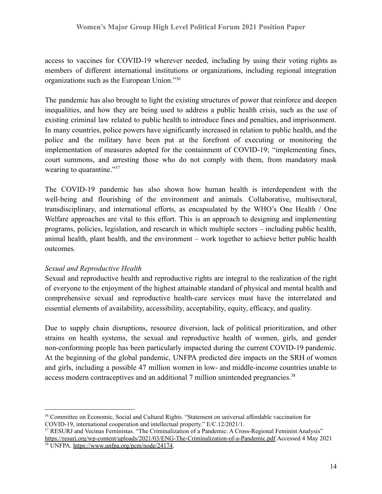access to vaccines for COVID-19 wherever needed, including by using their voting rights as members of different international institutions or organizations, including regional integration organizations such as the European Union."<sup>36</sup>

The pandemic has also brought to light the existing structures of power that reinforce and deepen inequalities, and how they are being used to address a public health crisis, such as the use of existing criminal law related to public health to introduce fines and penalties, and imprisonment. In many countries, police powers have significantly increased in relation to public health, and the police and the military have been put at the forefront of executing or monitoring the implementation of measures adopted for the containment of COVID-19; "implementing fines, court summons, and arresting those who do not comply with them, from mandatory mask wearing to quarantine."<sup>37</sup>

The COVID-19 pandemic has also shown how human health is interdependent with the well-being and flourishing of the environment and animals. Collaborative, multisectoral, transdisciplinary, and international efforts, as encapsulated by the WHO's One Health / One Welfare approaches are vital to this effort. This is an approach to designing and implementing programs, policies, legislation, and research in which multiple sectors – including public health, animal health, plant health, and the environment – work together to achieve better public health outcomes.

#### *Sexual and Reproductive Health*

Sexual and reproductive health and reproductive rights are integral to the realization of the right of everyone to the enjoyment of the highest attainable standard of physical and mental health and comprehensive sexual and reproductive health-care services must have the interrelated and essential elements of availability, accessibility, acceptability, equity, efficacy, and quality.

Due to supply chain disruptions, resource diversion, lack of political prioritization, and other strains on health systems, the sexual and reproductive health of women, girls, and gender non-conforming people has been particularly impacted during the current COVID-19 pandemic. At the beginning of the global pandemic, UNFPA predicted dire impacts on the SRH of women and girls, including a possible 47 million women in low- and middle-income countries unable to access modern contraceptives and an additional 7 million unintended pregnancies.<sup>38</sup>

<sup>&</sup>lt;sup>36</sup> Committee on Economic, Social and Cultural Rights. "Statement on universal affordable vaccination for COVID-19, international cooperation and intellectual property." E/C.12/2021/1.

<sup>&</sup>lt;sup>38</sup> UNFPA. [https://www.unfpa.org/pcm/node/24174.](https://www.unfpa.org/pcm/node/24174) <sup>37</sup> RESURJ and Vecinas Feministas. "The Criminalization of a Pandemic: A Cross-Regional Feminist Analysis" <https://resurj.org/wp-content/uploads/2021/03/ENG-The-Criminalization-of-a-Pandemic.pdf> Accessed 4 May 2021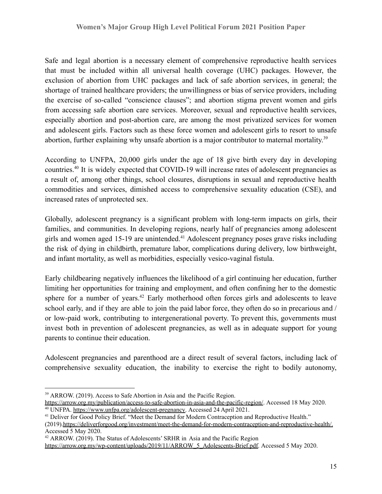Safe and legal abortion is a necessary element of comprehensive reproductive health services that must be included within all universal health coverage (UHC) packages. However, the exclusion of abortion from UHC packages and lack of safe abortion services, in general; the shortage of trained healthcare providers; the unwillingness or bias of service providers, including the exercise of so-called "conscience clauses"; and abortion stigma prevent women and girls from accessing safe abortion care services. Moreover, sexual and reproductive health services, especially abortion and post-abortion care, are among the most privatized services for women and adolescent girls. Factors such as these force women and adolescent girls to resort to unsafe abortion, further explaining why unsafe abortion is a major contributor to maternal mortality.<sup>39</sup>

According to UNFPA, 20,000 girls under the age of 18 give birth every day in developing countries.<sup>40</sup> It is widely expected that COVID-19 will increase rates of adolescent pregnancies as a result of, among other things, school closures, disruptions in sexual and reproductive health commodities and services, dimished access to comprehensive sexuality education (CSE), and increased rates of unprotected sex.

Globally, adolescent pregnancy is a significant problem with long-term impacts on girls, their families, and communities. In developing regions, nearly half of pregnancies among adolescent girls and women aged 15-19 are unintended.<sup>41</sup> Adolescent pregnancy poses grave risks including the risk of dying in childbirth, premature labor, complications during delivery, low birthweight, and infant mortality, as well as morbidities, especially vesico-vaginal fistula.

Early childbearing negatively influences the likelihood of a girl continuing her education, further limiting her opportunities for training and employment, and often confining her to the domestic sphere for a number of years.<sup>42</sup> Early motherhood often forces girls and adolescents to leave school early, and if they are able to join the paid labor force, they often do so in precarious and / or low-paid work, contributing to intergenerational poverty. To prevent this, governments must invest both in prevention of adolescent pregnancies, as well as in adequate support for young parents to continue their education.

Adolescent pregnancies and parenthood are a direct result of several factors, including lack of comprehensive sexuality education, the inability to exercise the right to bodily autonomy,

<sup>&</sup>lt;sup>39</sup> ARROW. (2019). Access to Safe Abortion in Asia and the Pacific Region.

<sup>&</sup>lt;sup>40</sup> UNFPA. [https://www.unfpa.org/adolescent-pregnancy.](https://www.unfpa.org/adolescent-pregnancy) Accessed 24 April 2021. <https://arrow.org.my/publication/access-to-safe-abortion-in-asia-and-the-pacific-region/>. Accessed 18 May 2020.

<sup>&</sup>lt;sup>41</sup> Deliver for Good Policy Brief. "Meet the Demand for Modern Contraception and Reproductive Health."

<sup>(2019)</sup>[.https://deliverforgood.org/investment/meet-the-demand-for-modern-contraception-and-reproductive-health/.](https://deliverforgood.org/investment/meet-the-demand-for-modern-contraception-and-reproductive-health/) Accessed 5 May 2020.

<sup>&</sup>lt;sup>42</sup> ARROW. (2019). The Status of Adolescents' SRHR in Asia and the Pacific Region

[https://arrow.org.my/wp-content/uploads/2019/11/ARROW\\_5\\_Adolescents-Brief.pdf.](https://arrow.org.my/wp-content/uploads/2019/11/ARROW_5_Adolescents-Brief.pdf) Accessed 5 May 2020.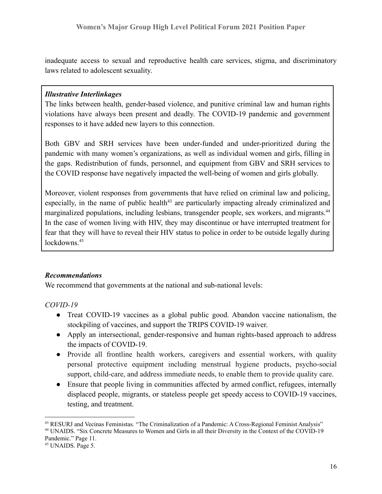inadequate access to sexual and reproductive health care services, stigma, and discriminatory laws related to adolescent sexuality.

#### *Illustrative Interlinkages*

The links between health, gender-based violence, and punitive criminal law and human rights violations have always been present and deadly. The COVID-19 pandemic and government responses to it have added new layers to this connection.

Both GBV and SRH services have been under-funded and under-prioritized during the pandemic with many women's organizations, as well as individual women and girls, filling in the gaps. Redistribution of funds, personnel, and equipment from GBV and SRH services to the COVID response have negatively impacted the well-being of women and girls globally.

Moreover, violent responses from governments that have relied on criminal law and policing, especially, in the name of public health<sup>43</sup> are particularly impacting already criminalized and marginalized populations, including lesbians, transgender people, sex workers, and migrants.<sup>44</sup> In the case of women living with HIV, they may discontinue or have interrupted treatment for fear that they will have to reveal their HIV status to police in order to be outside legally during  $lockdowns$ <sup>45</sup>

#### *Recommendations*

We recommend that governments at the national and sub-national levels:

#### *COVID-19*

- Treat COVID-19 vaccines as a global public good. Abandon vaccine nationalism, the stockpiling of vaccines, and support the TRIPS COVID-19 waiver.
- Apply an intersectional, gender-responsive and human rights-based approach to address the impacts of COVID-19.
- Provide all frontline health workers, caregivers and essential workers, with quality personal protective equipment including menstrual hygiene products, psycho-social support, child-care, and address immediate needs, to enable them to provide quality care.
- Ensure that people living in communities affected by armed conflict, refugees, internally displaced people, migrants, or stateless people get speedy access to COVID-19 vaccines, testing, and treatment.

<sup>43</sup> RESURJ and Vecinas Feministas. "The Criminalization of a Pandemic: A Cross-Regional Feminist Analysis"

<sup>44</sup> UNAIDS. "Six Concrete Measures to Women and Girls in all their Diversity in the Context of the COVID-19 Pandemic." Page 11.

<sup>&</sup>lt;sup>45</sup> UNAIDS. Page 5.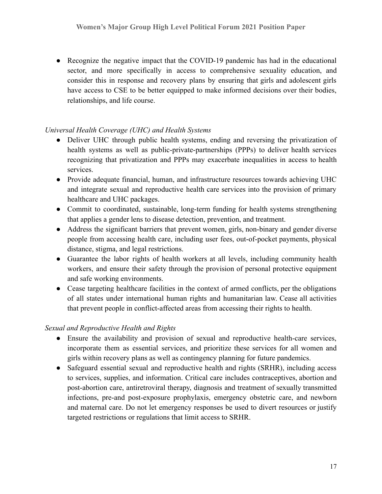● Recognize the negative impact that the COVID-19 pandemic has had in the educational sector, and more specifically in access to comprehensive sexuality education, and consider this in response and recovery plans by ensuring that girls and adolescent girls have access to CSE to be better equipped to make informed decisions over their bodies, relationships, and life course.

#### *Universal Health Coverage (UHC) and Health Systems*

- Deliver UHC through public health systems, ending and reversing the privatization of health systems as well as public-private-partnerships (PPPs) to deliver health services recognizing that privatization and PPPs may exacerbate inequalities in access to health services.
- Provide adequate financial, human, and infrastructure resources towards achieving UHC and integrate sexual and reproductive health care services into the provision of primary healthcare and UHC packages.
- Commit to coordinated, sustainable, long-term funding for health systems strengthening that applies a gender lens to disease detection, prevention, and treatment.
- Address the significant barriers that prevent women, girls, non-binary and gender diverse people from accessing health care, including user fees, out-of-pocket payments, physical distance, stigma, and legal restrictions.
- Guarantee the labor rights of health workers at all levels, including community health workers, and ensure their safety through the provision of personal protective equipment and safe working environments.
- Cease targeting healthcare facilities in the context of armed conflicts, per the obligations of all states under international human rights and humanitarian law. Cease all activities that prevent people in conflict-affected areas from accessing their rights to health.

# *Sexual and Reproductive Health and Rights*

- Ensure the availability and provision of sexual and reproductive health-care services, incorporate them as essential services, and prioritize these services for all women and girls within recovery plans as well as contingency planning for future pandemics.
- Safeguard essential sexual and reproductive health and rights (SRHR), including access to services, supplies, and information. Critical care includes contraceptives, abortion and post-abortion care, antiretroviral therapy, diagnosis and treatment of sexually transmitted infections, pre-and post-exposure prophylaxis, emergency obstetric care, and newborn and maternal care. Do not let emergency responses be used to divert resources or justify targeted restrictions or regulations that limit access to SRHR.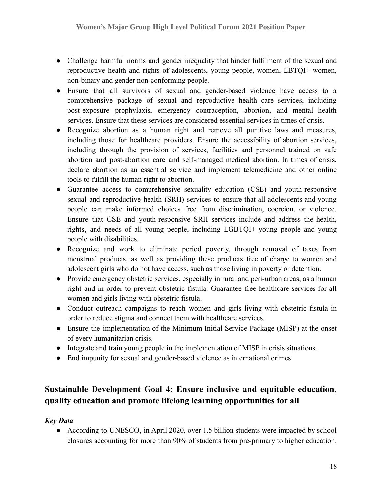- Challenge harmful norms and gender inequality that hinder fulfilment of the sexual and reproductive health and rights of adolescents, young people, women, LBTQI+ women, non-binary and gender non-conforming people.
- Ensure that all survivors of sexual and gender-based violence have access to a comprehensive package of sexual and reproductive health care services, including post-exposure prophylaxis, emergency contraception, abortion, and mental health services. Ensure that these services are considered essential services in times of crisis.
- Recognize abortion as a human right and remove all punitive laws and measures, including those for healthcare providers. Ensure the accessibility of abortion services, including through the provision of services, facilities and personnel trained on safe abortion and post-abortion care and self-managed medical abortion. In times of crisis, declare abortion as an essential service and implement telemedicine and other online tools to fulfill the human right to abortion.
- Guarantee access to comprehensive sexuality education (CSE) and youth-responsive sexual and reproductive health (SRH) services to ensure that all adolescents and young people can make informed choices free from discrimination, coercion, or violence. Ensure that CSE and youth-responsive SRH services include and address the health, rights, and needs of all young people, including LGBTQI+ young people and young people with disabilities.
- Recognize and work to eliminate period poverty, through removal of taxes from menstrual products, as well as providing these products free of charge to women and adolescent girls who do not have access, such as those living in poverty or detention.
- Provide emergency obstetric services, especially in rural and peri-urban areas, as a human right and in order to prevent obstetric fistula. Guarantee free healthcare services for all women and girls living with obstetric fistula.
- Conduct outreach campaigns to reach women and girls living with obstetric fistula in order to reduce stigma and connect them with healthcare services.
- Ensure the implementation of the Minimum Initial Service Package (MISP) at the onset of every humanitarian crisis.
- Integrate and train young people in the implementation of MISP in crisis situations.
- End impunity for sexual and gender-based violence as international crimes.

# **Sustainable Development Goal 4: Ensure inclusive and equitable education, quality education and promote lifelong learning opportunities for all**

# *Key Data*

• According to UNESCO, in April 2020, over 1.5 billion students were impacted by school closures accounting for more than 90% of students from pre-primary to higher education.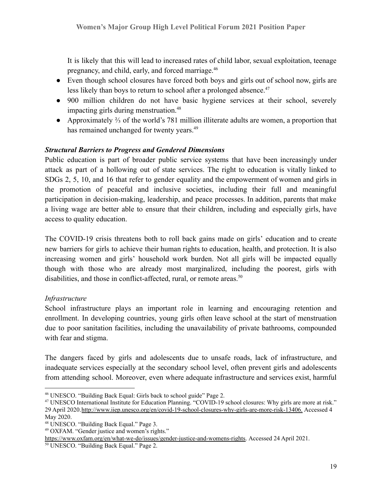It is likely that this will lead to increased rates of child labor, sexual exploitation, teenage pregnancy, and child, early, and forced marriage.<sup>46</sup>

- Even though school closures have forced both boys and girls out of school now, girls are less likely than boys to return to school after a prolonged absence.<sup>47</sup>
- 900 million children do not have basic hygiene services at their school, severely impacting girls during menstruation.<sup>48</sup>
- Approximately ⅔ of the world's 781 million illiterate adults are women, a proportion that has remained unchanged for twenty years.<sup>49</sup>

#### *Structural Barriers to Progress and Gendered Dimensions*

Public education is part of broader public service systems that have been increasingly under attack as part of a hollowing out of state services. The right to education is vitally linked to SDGs 2, 5, 10, and 16 that refer to gender equality and the empowerment of women and girls in the promotion of peaceful and inclusive societies, including their full and meaningful participation in decision-making, leadership, and peace processes. In addition, parents that make a living wage are better able to ensure that their children, including and especially girls, have access to quality education.

The COVID-19 crisis threatens both to roll back gains made on girls' education and to create new barriers for girls to achieve their human rights to education, health, and protection. It is also increasing women and girls' household work burden. Not all girls will be impacted equally though with those who are already most marginalized, including the poorest, girls with disabilities, and those in conflict-affected, rural, or remote areas.<sup>50</sup>

#### *Infrastructure*

School infrastructure plays an important role in learning and encouraging retention and enrollment. In developing countries, young girls often leave school at the start of menstruation due to poor sanitation facilities, including the unavailability of private bathrooms, compounded with fear and stigma.

The dangers faced by girls and adolescents due to unsafe roads, lack of infrastructure, and inadequate services especially at the secondary school level, often prevent girls and adolescents from attending school. Moreover, even where adequate infrastructure and services exist, harmful

<sup>46</sup> UNESCO. "Building Back Equal: Girls back to school guide" Page 2.

<sup>47</sup> UNESCO International Institute for Education Planning. "COVID-19 school closures: Why girls are more at risk." 29 April 2020.http://www.iiep.unesco.org/en/covid-19-school-closures-why-girls-are-more-risk-13406. Accessed 4 May 2020.

<sup>48</sup> UNESCO. "Building Back Equal." Page 3.

<sup>49</sup> OXFAM. "Gender justice and women's rights."

[https://www.oxfam.org/en/what-we-do/issues/gender-justice-and-womens-rights.](https://www.oxfam.org/en/what-we-do/issues/gender-justice-and-womens-rights) Accessed 24 April 2021.

<sup>50</sup> UNESCO. "Building Back Equal." Page 2.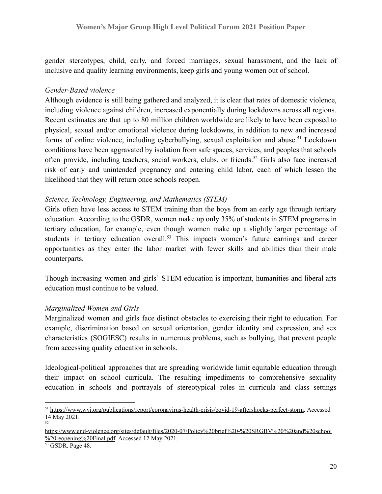gender stereotypes, child, early, and forced marriages, sexual harassment, and the lack of inclusive and quality learning environments, keep girls and young women out of school.

#### *Gender-Based violence*

Although evidence is still being gathered and analyzed, it is clear that rates of domestic violence, including violence against children, increased exponentially during lockdowns across all regions. Recent estimates are that up to 80 million children worldwide are likely to have been exposed to physical, sexual and/or emotional violence during lockdowns, in addition to new and increased forms of online violence, including cyberbullying, sexual exploitation and abuse.<sup>51</sup> Lockdown conditions have been aggravated by isolation from safe spaces, services, and peoples that schools often provide, including teachers, social workers, clubs, or friends.<sup>52</sup> Girls also face increased risk of early and unintended pregnancy and entering child labor, each of which lessen the likelihood that they will return once schools reopen.

#### *Science, Technology, Engineering, and Mathematics (STEM)*

Girls often have less access to STEM training than the boys from an early age through tertiary education. According to the GSDR, women make up only 35% of students in STEM programs in tertiary education, for example, even though women make up a slightly larger percentage of students in tertiary education overall.<sup>53</sup> This impacts women's future earnings and career opportunities as they enter the labor market with fewer skills and abilities than their male counterparts.

Though increasing women and girls' STEM education is important, humanities and liberal arts education must continue to be valued.

#### *Marginalized Women and Girls*

Marginalized women and girls face distinct obstacles to exercising their right to education. For example, discrimination based on sexual orientation, gender identity and expression, and sex characteristics (SOGIESC) results in numerous problems, such as bullying, that prevent people from accessing quality education in schools.

Ideological-political approaches that are spreading worldwide limit equitable education through their impact on school curricula. The resulting impediments to comprehensive sexuality education in schools and portrayals of stereotypical roles in curricula and class settings

<sup>52</sup> <sup>51</sup> <https://www.wvi.org/publications/report/coronavirus-health-crisis/covid-19-aftershocks-perfect-storm>. Accessed 14 May 2021.

[https://www.end-violence.org/sites/default/files/2020-07/Policy%20brief%20-%20SRGBV%20%20and%20school](https://www.end-violence.org/sites/default/files/2020-07/Policy%20brief%20-%20SRGBV%20%20and%20school%20reopening%20Final.pdf) [%20reopening%20Final.pdf.](https://www.end-violence.org/sites/default/files/2020-07/Policy%20brief%20-%20SRGBV%20%20and%20school%20reopening%20Final.pdf) Accessed 12 May 2021.

<sup>53</sup> GSDR. Page 48.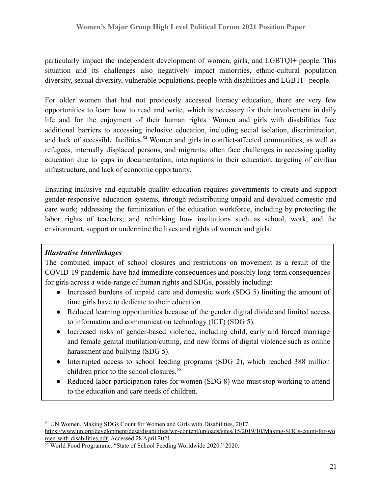particularly impact the independent development of women, girls, and LGBTQI+ people. This situation and its challenges also negatively impact minorities, ethnic-cultural population diversity, sexual diversity, vulnerable populations, people with disabilities and LGBTI+ people.

For older women that had not previously accessed literacy education, there are very few opportunities to learn how to read and write, which is necessary for their involvement in daily life and for the enjoyment of their human rights. Women and girls with disabilities face additional barriers to accessing inclusive education, including social isolation, discrimination, and lack of accessible facilities.<sup>54</sup> Women and girls in conflict-affected communities, as well as refugees, internally displaced persons, and migrants, often face challenges in accessing quality education due to gaps in documentation, interruptions in their education, targeting of civilian infrastructure, and lack of economic opportunity.

Ensuring inclusive and equitable quality education requires governments to create and support gender-responsive education systems, through redistributing unpaid and devalued domestic and care work; addressing the feminization of the education workforce, including by protecting the labor rights of teachers; and rethinking how institutions such as school, work, and the environment, support or undermine the lives and rights of women and girls.

#### *Illustrative Interlinkages*

The combined impact of school closures and restrictions on movement as a result of the COVID-19 pandemic have had immediate consequences and possibly long-term consequences for girls across a wide-range of human rights and SDGs, possibly including:

- Increased burdens of unpaid care and domestic work (SDG 5) limiting the amount of time girls have to dedicate to their education.
- Reduced learning opportunities because of the gender digital divide and limited access to information and communication technology (ICT) (SDG 5).
- Increased risks of gender-based violence, including child, early and forced marriage and female genital mutilation/cutting, and new forms of digital violence such as online harassment and bullying (SDG 5).
- Interrupted access to school feeding programs (SDG 2), which reached 388 million children prior to the school closures.<sup>55</sup>
- Reduced labor participation rates for women (SDG 8) who must stop working to attend to the education and care needs of children.

<sup>&</sup>lt;sup>54</sup> UN Women, Making SDGs Count for Women and Girls with Disabilities, 2017,

[https://www.un.org/development/desa/disabilities/wp-content/uploads/sites/15/2019/10/Making-SDGs-count-for-wo](https://www.un.org/development/desa/disabilities/wp-content/uploads/sites/15/2019/10/Making-SDGs-count-for-women-with-disabilities.pdf) [men-with-disabilities.pdf.](https://www.un.org/development/desa/disabilities/wp-content/uploads/sites/15/2019/10/Making-SDGs-count-for-women-with-disabilities.pdf) Accessed 28 April 2021.

<sup>55</sup> World Food Programme. "State of School Feeding Worldwide 2020." 2020.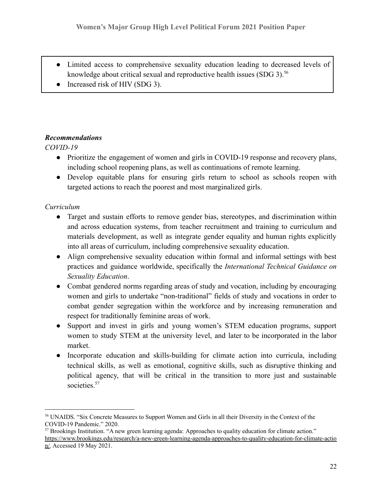- Limited access to comprehensive sexuality education leading to decreased levels of knowledge about critical sexual and reproductive health issues  $(SDG\ 3)$ <sup>56</sup>
- Increased risk of HIV (SDG 3).

### *Recommendations*

### *COVID-19*

- Prioritize the engagement of women and girls in COVID-19 response and recovery plans, including school reopening plans, as well as continuations of remote learning.
- Develop equitable plans for ensuring girls return to school as schools reopen with targeted actions to reach the poorest and most marginalized girls.

### *Curriculum*

- Target and sustain efforts to remove gender bias, stereotypes, and discrimination within and across education systems, from teacher recruitment and training to curriculum and materials development, as well as integrate gender equality and human rights explicitly into all areas of curriculum, including comprehensive sexuality education.
- Align comprehensive sexuality education within formal and informal settings with best practices and guidance worldwide, specifically the *International Technical Guidance on Sexuality Education*.
- Combat gendered norms regarding areas of study and vocation, including by encouraging women and girls to undertake "non-traditional" fields of study and vocations in order to combat gender segregation within the workforce and by increasing remuneration and respect for traditionally feminine areas of work.
- Support and invest in girls and young women's STEM education programs, support women to study STEM at the university level, and later to be incorporated in the labor market.
- Incorporate education and skills-building for climate action into curricula, including technical skills, as well as emotional, cognitive skills, such as disruptive thinking and political agency, that will be critical in the transition to more just and sustainable societies.<sup>57</sup>

<sup>56</sup> UNAIDS. "Six Concrete Measures to Support Women and Girls in all their Diversity in the Context of the COVID-19 Pandemic." 2020.

<sup>57</sup> Brookings Institution. "A new green learning agenda: Approaches to quality education for climate action." [https://www.brookings.edu/research/a-new-green-learning-agenda-approaches-to-quality-education-for-climate-actio](https://www.brookings.edu/research/a-new-green-learning-agenda-approaches-to-quality-education-for-climate-action/) [n/.](https://www.brookings.edu/research/a-new-green-learning-agenda-approaches-to-quality-education-for-climate-action/) Accessed 19 May 2021.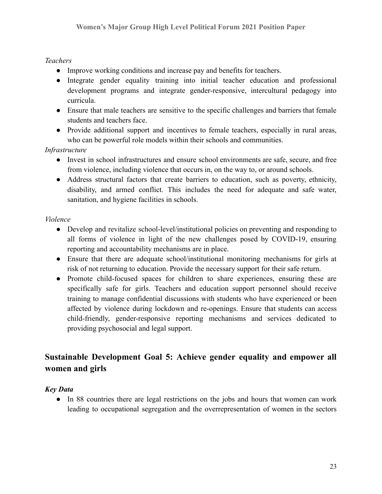#### *Teachers*

- Improve working conditions and increase pay and benefits for teachers.
- Integrate gender equality training into initial teacher education and professional development programs and integrate gender-responsive, intercultural pedagogy into curricula.
- Ensure that male teachers are sensitive to the specific challenges and barriers that female students and teachers face.
- Provide additional support and incentives to female teachers, especially in rural areas, who can be powerful role models within their schools and communities.

*Infrastructure*

- Invest in school infrastructures and ensure school environments are safe, secure, and free from violence, including violence that occurs in, on the way to, or around schools.
- Address structural factors that create barriers to education, such as poverty, ethnicity, disability, and armed conflict. This includes the need for adequate and safe water, sanitation, and hygiene facilities in schools.

#### *Violence*

- Develop and revitalize school-level/institutional policies on preventing and responding to all forms of violence in light of the new challenges posed by COVID-19, ensuring reporting and accountability mechanisms are in place.
- Ensure that there are adequate school/institutional monitoring mechanisms for girls at risk of not returning to education. Provide the necessary support for their safe return.
- Promote child-focused spaces for children to share experiences, ensuring these are specifically safe for girls. Teachers and education support personnel should receive training to manage confidential discussions with students who have experienced or been affected by violence during lockdown and re-openings. Ensure that students can access child-friendly, gender-responsive reporting mechanisms and services dedicated to providing psychosocial and legal support.

# **Sustainable Development Goal 5: Achieve gender equality and empower all women and girls**

#### *Key Data*

• In 88 countries there are legal restrictions on the jobs and hours that women can work leading to occupational segregation and the overrepresentation of women in the sectors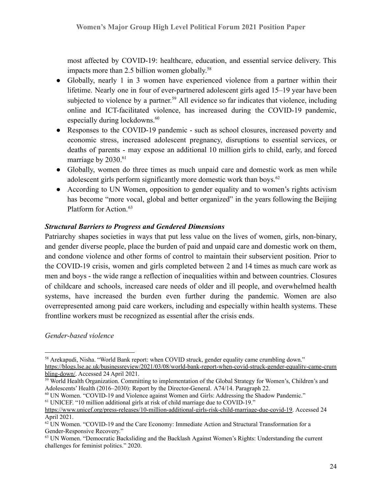most affected by COVID-19: healthcare, education, and essential service delivery. This impacts more than 2.5 billion women globally. 58

- Globally, nearly 1 in 3 women have experienced violence from a partner within their lifetime. Nearly one in four of ever-partnered adolescent girls aged 15–19 year have been subjected to violence by a partner.<sup>59</sup> All evidence so far indicates that violence, including online and ICT-facilitated violence, has increased during the COVID-19 pandemic, especially during lockdowns.<sup>60</sup>
- Responses to the COVID-19 pandemic such as school closures, increased poverty and economic stress, increased adolescent pregnancy, disruptions to essential services, or deaths of parents - may expose an additional 10 million girls to child, early, and forced marriage by 2030.<sup>61</sup>
- Globally, women do three times as much unpaid care and domestic work as men while adolescent girls perform significantly more domestic work than boys.<sup>62</sup>
- According to UN Women, opposition to gender equality and to women's rights activism has become "more vocal, global and better organized" in the years following the Beijing Platform for Action.<sup>63</sup>

#### *Structural Barriers to Progress and Gendered Dimensions*

Patriarchy shapes societies in ways that put less value on the lives of women, girls, non-binary, and gender diverse people, place the burden of paid and unpaid care and domestic work on them, and condone violence and other forms of control to maintain their subservient position. Prior to the COVID-19 crisis, women and girls completed between 2 and 14 times as much care work as men and boys - the wide range a reflection of inequalities within and between countries. Closures of childcare and schools, increased care needs of older and ill people, and overwhelmed health systems, have increased the burden even further during the pandemic. Women are also overrepresented among paid care workers, including and especially within health systems. These frontline workers must be recognized as essential after the crisis ends.

*Gender-based violence*

<sup>&</sup>lt;sup>58</sup> Arekapudi, Nisha. "World Bank report: when COVID struck, gender equality came crumbling down." [https://blogs.lse.ac.uk/businessreview/2021/03/08/world-bank-report-when-covid-struck-gender-equality-came-crum](https://blogs.lse.ac.uk/businessreview/2021/03/08/world-bank-report-when-covid-struck-gender-equality-came-crumbling-down/) [bling-down/.](https://blogs.lse.ac.uk/businessreview/2021/03/08/world-bank-report-when-covid-struck-gender-equality-came-crumbling-down/) Accessed 24 April 2021.

<sup>&</sup>lt;sup>59</sup> World Health Organization. Committing to implementation of the Global Strategy for Women's, Children's and Adolescents' Health (2016–2030): Report by the Director-General. A74/14. Paragraph 22.

<sup>61</sup> UNICEF. "10 million additional girls at risk of child marriage due to COVID-19."  $60$  UN Women. "COVID-19 and Violence against Women and Girls: Addressing the Shadow Pandemic."

[https://www.unicef.org/press-releases/10-million-additional-girls-risk-child-marriage-due-covid-19.](https://www.unicef.org/press-releases/10-million-additional-girls-risk-child-marriage-due-covid-19) Accessed 24 April 2021.

 $62$  UN Women. "COVID-19 and the Care Economy: Immediate Action and Structural Transformation for a Gender-Responsive Recovery."

<sup>&</sup>lt;sup>63</sup> UN Women. "Democratic Backsliding and the Backlash Against Women's Rights: Understanding the current challenges for feminist politics." 2020.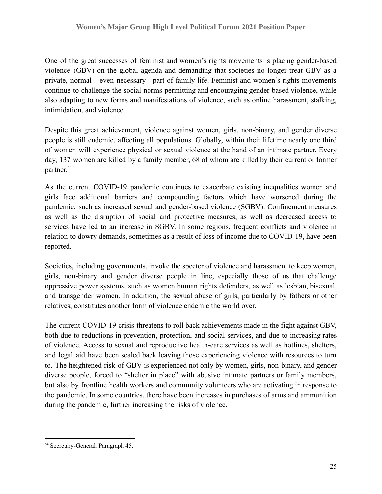One of the great successes of feminist and women's rights movements is placing gender-based violence (GBV) on the global agenda and demanding that societies no longer treat GBV as a private, normal - even necessary - part of family life. Feminist and women's rights movements continue to challenge the social norms permitting and encouraging gender-based violence, while also adapting to new forms and manifestations of violence, such as online harassment, stalking, intimidation, and violence.

Despite this great achievement, violence against women, girls, non-binary, and gender diverse people is still endemic, affecting all populations. Globally, within their lifetime nearly one third of women will experience physical or sexual violence at the hand of an intimate partner. Every day, 137 women are killed by a family member, 68 of whom are killed by their current or former partner. 64

As the current COVID-19 pandemic continues to exacerbate existing inequalities women and girls face additional barriers and compounding factors which have worsened during the pandemic, such as increased sexual and gender-based violence (SGBV). Confinement measures as well as the disruption of social and protective measures, as well as decreased access to services have led to an increase in SGBV. In some regions, frequent conflicts and violence in relation to dowry demands, sometimes as a result of loss of income due to COVID-19, have been reported.

Societies, including governments, invoke the specter of violence and harassment to keep women, girls, non-binary and gender diverse people in line, especially those of us that challenge oppressive power systems, such as women human rights defenders, as well as lesbian, bisexual, and transgender women. In addition, the sexual abuse of girls, particularly by fathers or other relatives, constitutes another form of violence endemic the world over.

The current COVID-19 crisis threatens to roll back achievements made in the fight against GBV, both due to reductions in prevention, protection, and social services, and due to increasing rates of violence. Access to sexual and reproductive health-care services as well as hotlines, shelters, and legal aid have been scaled back leaving those experiencing violence with resources to turn to. The heightened risk of GBV is experienced not only by women, girls, non-binary, and gender diverse people, forced to "shelter in place" with abusive intimate partners or family members, but also by frontline health workers and community volunteers who are activating in response to the pandemic. In some countries, there have been increases in purchases of arms and ammunition during the pandemic, further increasing the risks of violence.

<sup>64</sup> Secretary-General. Paragraph 45.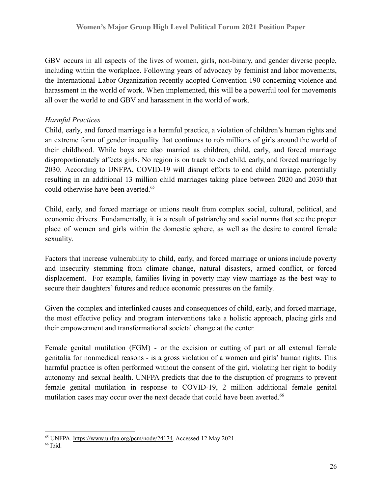GBV occurs in all aspects of the lives of women, girls, non-binary, and gender diverse people, including within the workplace. Following years of advocacy by feminist and labor movements, the International Labor Organization recently adopted Convention 190 concerning violence and harassment in the world of work. When implemented, this will be a powerful tool for movements all over the world to end GBV and harassment in the world of work.

# *Harmful Practices*

Child, early, and forced marriage is a harmful practice, a violation of children's human rights and an extreme form of gender inequality that continues to rob millions of girls around the world of their childhood. While boys are also married as children, child, early, and forced marriage disproportionately affects girls. No region is on track to end child, early, and forced marriage by 2030. According to UNFPA, COVID-19 will disrupt efforts to end child marriage, potentially resulting in an additional 13 million child marriages taking place between 2020 and 2030 that could otherwise have been averted.<sup>65</sup>

Child, early, and forced marriage or unions result from complex social, cultural, political, and economic drivers. Fundamentally, it is a result of patriarchy and social norms that see the proper place of women and girls within the domestic sphere, as well as the desire to control female sexuality.

Factors that increase vulnerability to child, early, and forced marriage or unions include poverty and insecurity stemming from climate change, natural disasters, armed conflict, or forced displacement. For example, families living in poverty may view marriage as the best way to secure their daughters' futures and reduce economic pressures on the family.

Given the complex and interlinked causes and consequences of child, early, and forced marriage, the most effective policy and program interventions take a holistic approach, placing girls and their empowerment and transformational societal change at the center.

Female genital mutilation (FGM) - or the excision or cutting of part or all external female genitalia for nonmedical reasons - is a gross violation of a women and girls' human rights. This harmful practice is often performed without the consent of the girl, violating her right to bodily autonomy and sexual health. UNFPA predicts that due to the disruption of programs to prevent female genital mutilation in response to COVID-19, 2 million additional female genital mutilation cases may occur over the next decade that could have been averted.<sup>66</sup>

<sup>&</sup>lt;sup>66</sup> Ibid. <sup>65</sup> UNFPA. [https://www.unfpa.org/pcm/node/24174.](https://www.unfpa.org/pcm/node/24174) Accessed 12 May 2021.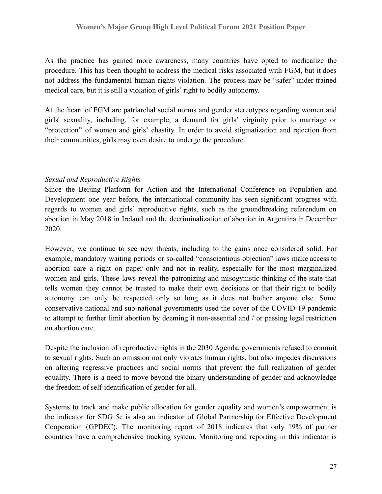As the practice has gained more awareness, many countries have opted to medicalize the procedure. This has been thought to address the medical risks associated with FGM, but it does not address the fundamental human rights violation. The process may be "safer" under trained medical care, but it is still a violation of girls' right to bodily autonomy.

At the heart of FGM are patriarchal social norms and gender stereotypes regarding women and girls' sexuality, including, for example, a demand for girls' virginity prior to marriage or "protection" of women and girls' chastity. In order to avoid stigmatization and rejection from their communities, girls may even desire to undergo the procedure.

#### *Sexual and Reproductive Rights*

Since the Beijing Platform for Action and the International Conference on Population and Development one year before, the international community has seen significant progress with regards to women and girls' reproductive rights, such as the groundbreaking referendum on abortion in May 2018 in Ireland and the decriminalization of abortion in Argentina in December 2020.

However, we continue to see new threats, including to the gains once considered solid. For example, mandatory waiting periods or so-called "conscientious objection" laws make access to abortion care a right on paper only and not in reality, especially for the most marginalized women and girls. These laws reveal the patronizing and misogynistic thinking of the state that tells women they cannot be trusted to make their own decisions or that their right to bodily autonomy can only be respected only so long as it does not bother anyone else. Some conservative national and sub-national governments used the cover of the COVID-19 pandemic to attempt to further limit abortion by deeming it non-essential and / or passing legal restriction on abortion care.

Despite the inclusion of reproductive rights in the 2030 Agenda, governments refused to commit to sexual rights. Such an omission not only violates human rights, but also impedes discussions on altering regressive practices and social norms that prevent the full realization of gender equality. There is a need to move beyond the binary understanding of gender and acknowledge the freedom of self-identification of gender for all.

Systems to track and make public allocation for gender equality and women's empowerment is the indicator for SDG 5c is also an indicator of Global Partnership for Effective Development Cooperation (GPDEC). The monitoring report of 2018 indicates that only 19% of partner countries have a comprehensive tracking system. Monitoring and reporting in this indicator is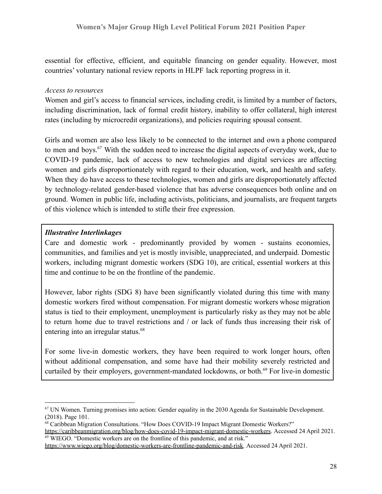essential for effective, efficient, and equitable financing on gender equality. However, most countries' voluntary national review reports in HLPF lack reporting progress in it.

#### *Access to resources*

Women and girl's access to financial services, including credit, is limited by a number of factors, including discrimination, lack of formal credit history, inability to offer collateral, high interest rates (including by microcredit organizations), and policies requiring spousal consent.

Girls and women are also less likely to be connected to the internet and own a phone compared to men and boys.<sup>67</sup> With the sudden need to increase the digital aspects of everyday work, due to COVID-19 pandemic, lack of access to new technologies and digital services are affecting women and girls disproportionately with regard to their education, work, and health and safety. When they do have access to these technologies, women and girls are disproportionately affected by technology-related gender-based violence that has adverse consequences both online and on ground. Women in public life, including activists, politicians, and journalists, are frequent targets of this violence which is intended to stifle their free expression.

#### *Illustrative Interlinkages*

Care and domestic work - predominantly provided by women - sustains economies, communities, and families and yet is mostly invisible, unappreciated, and underpaid. Domestic workers, including migrant domestic workers (SDG 10), are critical, essential workers at this time and continue to be on the frontline of the pandemic.

However, labor rights (SDG 8) have been significantly violated during this time with many domestic workers fired without compensation. For migrant domestic workers whose migration status is tied to their employment, unemployment is particularly risky as they may not be able to return home due to travel restrictions and / or lack of funds thus increasing their risk of entering into an irregular status.<sup>68</sup>

For some live-in domestic workers, they have been required to work longer hours, often without additional compensation, and some have had their mobility severely restricted and curtailed by their employers, government-mandated lockdowns, or both.<sup>69</sup> For live-in domestic

<sup>69</sup> WIEGO. "Domestic workers are on the frontline of this pandemic, and at risk."

<sup>67</sup> UN Women. Turning promises into action: Gender equality in the 2030 Agenda for Sustainable Development. (2018). Page 101.

<sup>68</sup> Caribbean Migration Consultations. "How Does COVID-19 Impact Migrant Domestic Workers?" <https://caribbeanmigration.org/blog/how-does-covid-19-impact-migrant-domestic-workers>. Accessed 24 April 2021.

[https://www.wiego.org/blog/domestic-workers-are-frontline-pandemic-and-risk.](https://www.wiego.org/blog/domestic-workers-are-frontline-pandemic-and-risk) Accessed 24 April 2021.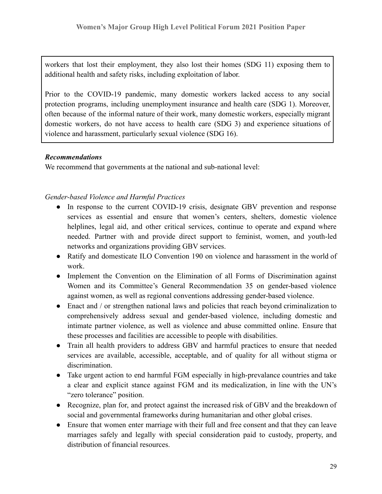workers that lost their employment, they also lost their homes (SDG 11) exposing them to additional health and safety risks, including exploitation of labor.

Prior to the COVID-19 pandemic, many domestic workers lacked access to any social protection programs, including unemployment insurance and health care (SDG 1). Moreover, often because of the informal nature of their work, many domestic workers, especially migrant domestic workers, do not have access to health care (SDG 3) and experience situations of violence and harassment, particularly sexual violence (SDG 16).

#### *Recommendations*

We recommend that governments at the national and sub-national level:

### *Gender-based Violence and Harmful Practices*

- In response to the current COVID-19 crisis, designate GBV prevention and response services as essential and ensure that women's centers, shelters, domestic violence helplines, legal aid, and other critical services, continue to operate and expand where needed. Partner with and provide direct support to feminist, women, and youth-led networks and organizations providing GBV services.
- Ratify and domesticate ILO Convention 190 on violence and harassment in the world of work.
- Implement the Convention on the Elimination of all Forms of Discrimination against Women and its Committee's General Recommendation 35 on gender-based violence against women, as well as regional conventions addressing gender-based violence.
- Enact and / or strengthen national laws and policies that reach beyond criminalization to comprehensively address sexual and gender-based violence, including domestic and intimate partner violence, as well as violence and abuse committed online. Ensure that these processes and facilities are accessible to people with disabilities.
- Train all health providers to address GBV and harmful practices to ensure that needed services are available, accessible, acceptable, and of quality for all without stigma or discrimination.
- Take urgent action to end harmful FGM especially in high-prevalance countries and take a clear and explicit stance against FGM and its medicalization, in line with the UN's "zero tolerance" position.
- Recognize, plan for, and protect against the increased risk of GBV and the breakdown of social and governmental frameworks during humanitarian and other global crises.
- Ensure that women enter marriage with their full and free consent and that they can leave marriages safely and legally with special consideration paid to custody, property, and distribution of financial resources.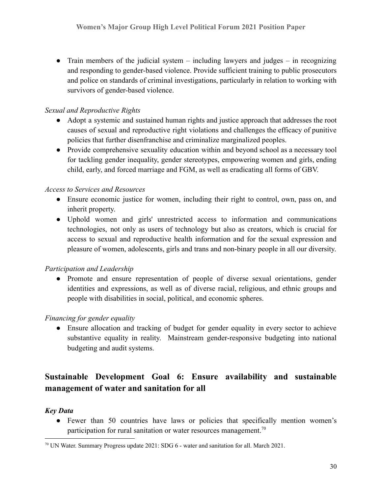• Train members of the judicial system  $-$  including lawyers and judges  $-$  in recognizing and responding to gender-based violence. Provide sufficient training to public prosecutors and police on standards of criminal investigations, particularly in relation to working with survivors of gender-based violence.

### *Sexual and Reproductive Rights*

- Adopt a systemic and sustained human rights and justice approach that addresses the root causes of sexual and reproductive right violations and challenges the efficacy of punitive policies that further disenfranchise and criminalize marginalized peoples.
- Provide comprehensive sexuality education within and beyond school as a necessary tool for tackling gender inequality, gender stereotypes, empowering women and girls, ending child, early, and forced marriage and FGM, as well as eradicating all forms of GBV.

#### *Access to Services and Resources*

- Ensure economic justice for women, including their right to control, own, pass on, and inherit property.
- Uphold women and girls' unrestricted access to information and communications technologies, not only as users of technology but also as creators, which is crucial for access to sexual and reproductive health information and for the sexual expression and pleasure of women, adolescents, girls and trans and non-binary people in all our diversity.

#### *Participation and Leadership*

● Promote and ensure representation of people of diverse sexual orientations, gender identities and expressions, as well as of diverse racial, religious, and ethnic groups and people with disabilities in social, political, and economic spheres.

# *Financing for gender equality*

• Ensure allocation and tracking of budget for gender equality in every sector to achieve substantive equality in reality. Mainstream gender-responsive budgeting into national budgeting and audit systems.

# **Sustainable Development Goal 6: Ensure availability and sustainable management of water and sanitation for all**

# *Key Data*

● Fewer than 50 countries have laws or policies that specifically mention women's participation for rural sanitation or water resources management.<sup>70</sup>

<sup>70</sup> UN Water. Summary Progress update 2021: SDG 6 - water and sanitation for all. March 2021.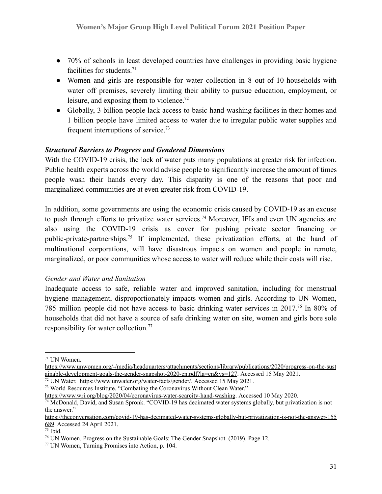- 70% of schools in least developed countries have challenges in providing basic hygiene facilities for students. $71$
- Women and girls are responsible for water collection in 8 out of 10 households with water off premises, severely limiting their ability to pursue education, employment, or leisure, and exposing them to violence.<sup>72</sup>
- Globally, 3 billion people lack access to basic hand-washing facilities in their homes and 1 billion people have limited access to water due to irregular public water supplies and frequent interruptions of service.<sup>73</sup>

#### *Structural Barriers to Progress and Gendered Dimensions*

With the COVID-19 crisis, the lack of water puts many populations at greater risk for infection. Public health experts across the world advise people to significantly increase the amount of times people wash their hands every day. This disparity is one of the reasons that poor and marginalized communities are at even greater risk from COVID-19.

In addition, some governments are using the economic crisis caused by COVID-19 as an excuse to push through efforts to privatize water services.<sup>74</sup> Moreover, IFIs and even UN agencies are also using the COVID-19 crisis as cover for pushing private sector financing or public-private-partnerships.<sup>75</sup> If implemented, these privatization efforts, at the hand of multinational corporations, will have disastrous impacts on women and people in remote, marginalized, or poor communities whose access to water will reduce while their costs will rise.

#### *Gender and Water and Sanitation*

Inadequate access to safe, reliable water and improved sanitation, including for menstrual hygiene management, disproportionately impacts women and girls. According to UN Women, 785 million people did not have access to basic drinking water services in 2017.<sup>76</sup> In 80% of households that did not have a source of safe drinking water on site, women and girls bore sole responsibility for water collection.<sup>77</sup>

<sup>73</sup> World Resources Institute. "Combating the Coronavirus Without Clean Water."

<sup>71</sup> UN Women.

[https://www.unwomen.org/-/media/headquarters/attachments/sections/library/publications/2020/progress-on-the-sust](https://www.unwomen.org/-/media/headquarters/attachments/sections/library/publications/2020/progress-on-the-sustainable-development-goals-the-gender-snapshot-2020-en.pdf?la=en&vs=127) [ainable-development-goals-the-gender-snapshot-2020-en.pdf?la=en&vs=127](https://www.unwomen.org/-/media/headquarters/attachments/sections/library/publications/2020/progress-on-the-sustainable-development-goals-the-gender-snapshot-2020-en.pdf?la=en&vs=127). Accessed 15 May 2021.

<sup>&</sup>lt;sup>72</sup> UN Water. <https://www.unwater.org/water-facts/gender/>. Accessed 15 May 2021.

<https://www.wri.org/blog/2020/04/coronavirus-water-scarcity-hand-washing>. Accessed 10 May 2020.

<sup>74</sup> McDonald, David, and Susan Spronk. "COVID-19 has decimated water systems globally, but privatization is not the answer."

[https://theconversation.com/covid-19-has-decimated-water-systems-globally-but-privatization-is-not-the-answer-155](https://theconversation.com/covid-19-has-decimated-water-systems-globally-but-privatization-is-not-the-answer-155689) [689.](https://theconversation.com/covid-19-has-decimated-water-systems-globally-but-privatization-is-not-the-answer-155689) Accessed 24 April 2021.

 $\frac{75}{16}$  Ibid.

 $<sup>76</sup>$  UN Women. Progress on the Sustainable Goals: The Gender Snapshot. (2019). Page 12.</sup>

<sup>77</sup> UN Women, Turning Promises into Action, p. 104.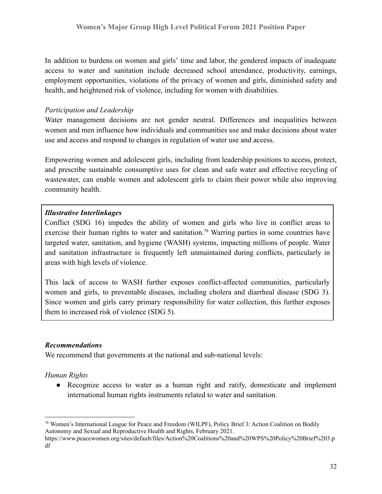In addition to burdens on women and girls' time and labor, the gendered impacts of inadequate access to water and sanitation include decreased school attendance, productivity, earnings, employment opportunities, violations of the privacy of women and girls, diminished safety and health, and heightened risk of violence, including for women with disabilities.

#### *Participation and Leadership*

Water management decisions are not gender neutral. Differences and inequalities between women and men influence how individuals and communities use and make decisions about water use and access and respond to changes in regulation of water use and access.

Empowering women and adolescent girls, including from leadership positions to access, protect, and prescribe sustainable consumptive uses for clean and safe water and effective recycling of wastewater, can enable women and adolescent girls to claim their power while also improving community health.

#### *Illustrative Interlinkages*

Conflict (SDG 16) impedes the ability of women and girls who live in conflict areas to exercise their human rights to water and sanitation.<sup>78</sup> Warring parties in some countries have targeted water, sanitation, and hygiene (WASH) systems, impacting millions of people. Water and sanitation infrastructure is frequently left unmaintained during conflicts, particularly in areas with high levels of violence.

This lack of access to WASH further exposes conflict-affected communities, particularly women and girls, to preventable diseases, including cholera and diarrheal disease (SDG 3). Since women and girls carry primary responsibility for water collection, this further exposes them to increased risk of violence (SDG 5).

#### *Recommendations*

We recommend that governments at the national and sub-national levels:

#### *Human Rights*

● Recognize access to water as a human right and ratify, domesticate and implement international human rights instruments related to water and sanitation.

<sup>78</sup> Women's International League for Peace and Freedom (WILPF), Policy Brief 3: Action Coalition on Bodily Autonomy and Sexual and Reproductive Health and Rights, February 2021.

https://www.peacewomen.org/sites/default/files/Action%20Coalitions%20and%20WPS%20Policy%20Brief%203.p df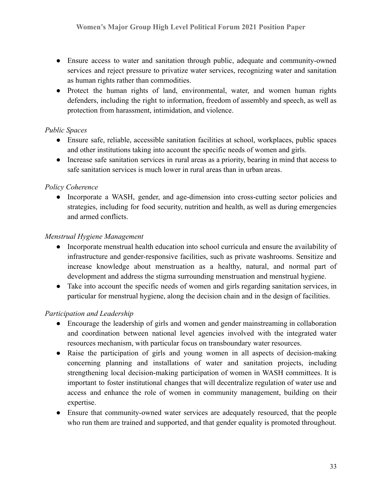- Ensure access to water and sanitation through public, adequate and community-owned services and reject pressure to privatize water services, recognizing water and sanitation as human rights rather than commodities.
- Protect the human rights of land, environmental, water, and women human rights defenders, including the right to information, freedom of assembly and speech, as well as protection from harassment, intimidation, and violence.

### *Public Spaces*

- Ensure safe, reliable, accessible sanitation facilities at school, workplaces, public spaces and other institutions taking into account the specific needs of women and girls.
- Increase safe sanitation services in rural areas as a priority, bearing in mind that access to safe sanitation services is much lower in rural areas than in urban areas.

# *Policy Coherence*

• Incorporate a WASH, gender, and age-dimension into cross-cutting sector policies and strategies, including for food security, nutrition and health, as well as during emergencies and armed conflicts.

### *Menstrual Hygiene Management*

- Incorporate menstrual health education into school curricula and ensure the availability of infrastructure and gender-responsive facilities, such as private washrooms. Sensitize and increase knowledge about menstruation as a healthy, natural, and normal part of development and address the stigma surrounding menstruation and menstrual hygiene.
- Take into account the specific needs of women and girls regarding sanitation services, in particular for menstrual hygiene, along the decision chain and in the design of facilities.

# *Participation and Leadership*

- Encourage the leadership of girls and women and gender mainstreaming in collaboration and coordination between national level agencies involved with the integrated water resources mechanism, with particular focus on transboundary water resources.
- Raise the participation of girls and young women in all aspects of decision-making concerning planning and installations of water and sanitation projects, including strengthening local decision-making participation of women in WASH committees. It is important to foster institutional changes that will decentralize regulation of water use and access and enhance the role of women in community management, building on their expertise.
- Ensure that community-owned water services are adequately resourced, that the people who run them are trained and supported, and that gender equality is promoted throughout.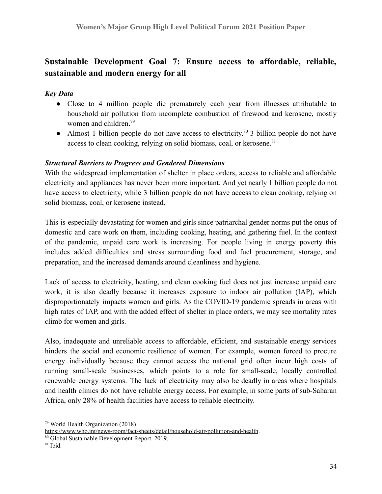# **Sustainable Development Goal 7: Ensure access to affordable, reliable, sustainable and modern energy for all**

#### *Key Data*

- Close to 4 million people die prematurely each year from illnesses attributable to household air pollution from incomplete combustion of firewood and kerosene, mostly women and children.<sup>79</sup>
- Almost 1 billion people do not have access to electricity.<sup>80</sup> 3 billion people do not have access to clean cooking, relying on solid biomass, coal, or kerosene.<sup>81</sup>

### *Structural Barriers to Progress and Gendered Dimensions*

With the widespread implementation of shelter in place orders, access to reliable and affordable electricity and appliances has never been more important. And yet nearly 1 billion people do not have access to electricity, while 3 billion people do not have access to clean cooking, relying on solid biomass, coal, or kerosene instead.

This is especially devastating for women and girls since patriarchal gender norms put the onus of domestic and care work on them, including cooking, heating, and gathering fuel. In the context of the pandemic, unpaid care work is increasing. For people living in energy poverty this includes added difficulties and stress surrounding food and fuel procurement, storage, and preparation, and the increased demands around cleanliness and hygiene.

Lack of access to electricity, heating, and clean cooking fuel does not just increase unpaid care work, it is also deadly because it increases exposure to indoor air pollution (IAP), which disproportionately impacts women and girls. As the COVID-19 pandemic spreads in areas with high rates of IAP, and with the added effect of shelter in place orders, we may see mortality rates climb for women and girls.

Also, inadequate and unreliable access to affordable, efficient, and sustainable energy services hinders the social and economic resilience of women. For example, women forced to procure energy individually because they cannot access the national grid often incur high costs of running small-scale businesses, which points to a role for small-scale, locally controlled renewable energy systems. The lack of electricity may also be deadly in areas where hospitals and health clinics do not have reliable energy access. For example, in some parts of sub-Saharan Africa, only 28% of health facilities have access to reliable electricity.

<sup>79</sup> World Health Organization (2018)

<https://www.who.int/news-room/fact-sheets/detail/household-air-pollution-and-health>.

<sup>80</sup> Global Sustainable Development Report. 2019.

 $81$  Ibid.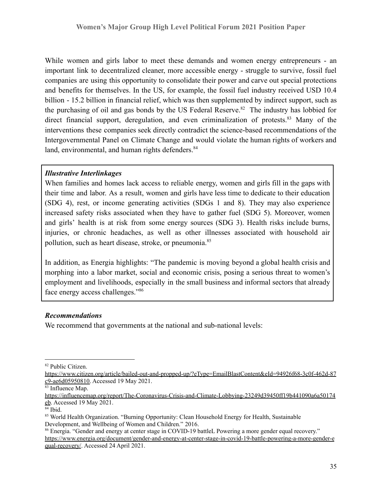While women and girls labor to meet these demands and women energy entrepreneurs - an important link to decentralized cleaner, more accessible energy - struggle to survive, fossil fuel companies are using this opportunity to consolidate their power and carve out special protections and benefits for themselves. In the US, for example, the fossil fuel industry received USD 10.4 billion - 15.2 billion in financial relief, which was then supplemented by indirect support, such as the purchasing of oil and gas bonds by the US Federal Reserve.<sup>82</sup> The industry has lobbied for direct financial support, deregulation, and even criminalization of protests. $83$  Many of the interventions these companies seek directly contradict the science-based recommendations of the Intergovernmental Panel on Climate Change and would violate the human rights of workers and land, environmental, and human rights defenders.<sup>84</sup>

#### *Illustrative Interlinkages*

When families and homes lack access to reliable energy, women and girls fill in the gaps with their time and labor. As a result, women and girls have less time to dedicate to their education (SDG 4), rest, or income generating activities (SDGs 1 and 8). They may also experience increased safety risks associated when they have to gather fuel (SDG 5). Moreover, women and girls' health is at risk from some energy sources (SDG 3). Health risks include burns, injuries, or chronic headaches, as well as other illnesses associated with household air pollution, such as heart disease, stroke, or pneumonia.<sup>85</sup>

In addition, as Energia highlights: "The pandemic is moving beyond a global health crisis and morphing into a labor market, social and economic crisis, posing a serious threat to women's employment and livelihoods, especially in the small business and informal sectors that already face energy access challenges."<sup>86</sup>

#### *Recommendations*

We recommend that governments at the national and sub-national levels:

<sup>82</sup> Public Citizen.

[https://www.citizen.org/article/bailed-out-and-propped-up/?eType=EmailBlastContent&eId=94926f68-3c0f-462d-87](https://www.citizen.org/article/bailed-out-and-propped-up/?eType=EmailBlastContent&eId=94926f68-3c0f-462d-87c9-ae6d05950810) [c9-ae6d05950810.](https://www.citizen.org/article/bailed-out-and-propped-up/?eType=EmailBlastContent&eId=94926f68-3c0f-462d-87c9-ae6d05950810) Accessed 19 May 2021.

<sup>83</sup> Influence Map.

[https://influencemap.org/report/The-Coronavirus-Crisis-and-Climate-Lobbying-23249d39450ff19b441090a6a50174](https://influencemap.org/report/The-Coronavirus-Crisis-and-Climate-Lobbying-23249d39450ff19b441090a6a50174eb) [eb](https://influencemap.org/report/The-Coronavirus-Crisis-and-Climate-Lobbying-23249d39450ff19b441090a6a50174eb). Accessed 19 May 2021.

 $84$  Ibid.

<sup>&</sup>lt;sup>85</sup> World Health Organization. "Burning Opportunity: Clean Household Energy for Health, Sustainable Development, and Wellbeing of Women and Children." 2016.

<sup>86</sup> Energia. "Gender and energy at center stage in COVID-19 battleL Powering a more gender equal recovery." [https://www.energia.org/document/gender-and-energy-at-center-stage-in-covid-19-battle-powering-a-more-gender-e](https://www.energia.org/document/gender-and-energy-at-center-stage-in-covid-19-battle-powering-a-more-gender-equal-recovery/) [qual-recovery/](https://www.energia.org/document/gender-and-energy-at-center-stage-in-covid-19-battle-powering-a-more-gender-equal-recovery/). Accessed 24 April 2021.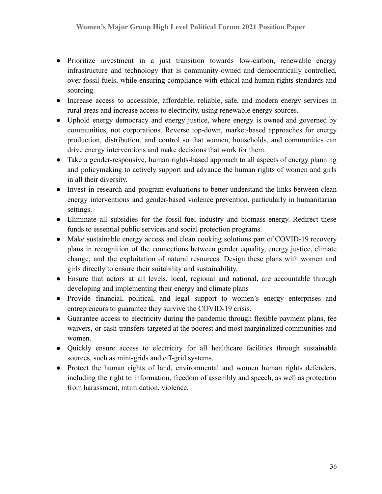- Prioritize investment in a just transition towards low-carbon, renewable energy infrastructure and technology that is community-owned and democratically controlled, over fossil fuels, while ensuring compliance with ethical and human rights standards and sourcing.
- Increase access to accessible, affordable, reliable, safe, and modern energy services in rural areas and increase access to electricity, using renewable energy sources.
- Uphold energy democracy and energy justice, where energy is owned and governed by communities, not corporations. Reverse top-down, market-based approaches for energy production, distribution, and control so that women, households, and communities can drive energy interventions and make decisions that work for them.
- Take a gender-responsive, human rights-based approach to all aspects of energy planning and policymaking to actively support and advance the human rights of women and girls in all their diversity.
- Invest in research and program evaluations to better understand the links between clean energy interventions and gender-based violence prevention, particularly in humanitarian settings.
- Eliminate all subsidies for the fossil-fuel industry and biomass energy. Redirect these funds to essential public services and social protection programs.
- Make sustainable energy access and clean cooking solutions part of COVID-19 recovery plans in recognition of the connections between gender equality, energy justice, climate change, and the exploitation of natural resources. Design these plans with women and girls directly to ensure their suitability and sustainability.
- Ensure that actors at all levels, local, regional and national, are accountable through developing and implementing their energy and climate plans
- Provide financial, political, and legal support to women's energy enterprises and entrepreneurs to guarantee they survive the COVID-19 crisis.
- Guarantee access to electricity during the pandemic through flexible payment plans, fee waivers, or cash transfers targeted at the poorest and most marginalized communities and women.
- Quickly ensure access to electricity for all healthcare facilities through sustainable sources, such as mini-grids and off-grid systems.
- Protect the human rights of land, environmental and women human rights defenders, including the right to information, freedom of assembly and speech, as well as protection from harassment, intimidation, violence.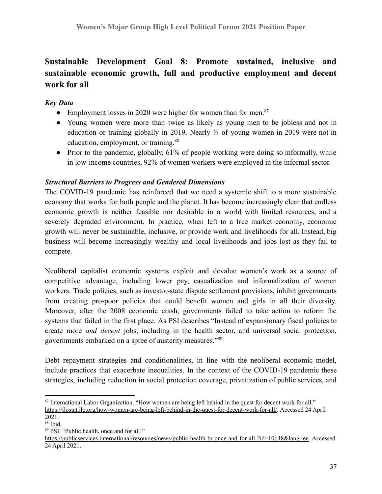# **Sustainable Development Goal 8: Promote sustained, inclusive and sustainable economic growth, full and productive employment and decent work for all**

# *Key Data*

- Employment losses in 2020 were higher for women than for men. $87$
- Young women were more than twice as likely as young men to be jobless and not in education or training globally in 2019. Nearly ⅓ of young women in 2019 were not in education, employment, or training.<sup>88</sup>
- Prior to the pandemic, globally, 61% of people working were doing so informally, while in low-income countries, 92% of women workers were employed in the informal sector.

## *Structural Barriers to Progress and Gendered Dimensions*

The COVID-19 pandemic has reinforced that we need a systemic shift to a more sustainable economy that works for both people and the planet. It has become increasingly clear that endless economic growth is neither feasible nor desirable in a world with limited resources, and a severely degraded environment. In practice, when left to a free market economy, economic growth will never be sustainable, inclusive, or provide work and livelihoods for all. Instead, big business will become increasingly wealthy and local livelihoods and jobs lost as they fail to compete.

Neoliberal capitalist economic systems exploit and devalue women's work as a source of competitive advantage, including lower pay, casualization and informalization of women workers. Trade policies, such as investor-state dispute settlement provisions, inhibit governments from creating pro-poor policies that could benefit women and girls in all their diversity. Moreover, after the 2008 economic crash, governments failed to take action to reform the systems that failed in the first place. As PSI describes "Instead of expansionary fiscal policies to create more *and decent* jobs, including in the health sector, and universal social protection, governments embarked on a spree of austerity measures."<sup>89</sup>

Debt repayment strategies and conditionalities, in line with the neoliberal economic model, include practices that exacerbate inequalities. In the context of the COVID-19 pandemic these strategies, including reduction in social protection coverage, privatization of public services, and

<sup>87</sup> International Labor Organization. "How women are being left behind in the quest for decent work for all." [https://ilostat.ilo.org/how-women-are-being-left-behind-in-the-quest-for-decent-work-for-all/.](https://ilostat.ilo.org/how-women-are-being-left-behind-in-the-quest-for-decent-work-for-all/) Accessed 24 April

 $88$  Ibid. 2021.

<sup>89</sup> PSI. "Public health, once and for all!"

<https://publicservices.international/resources/news/public-health-br-once-and-for-all-?id=10648&lang=en>. Accessed 24 April 2021.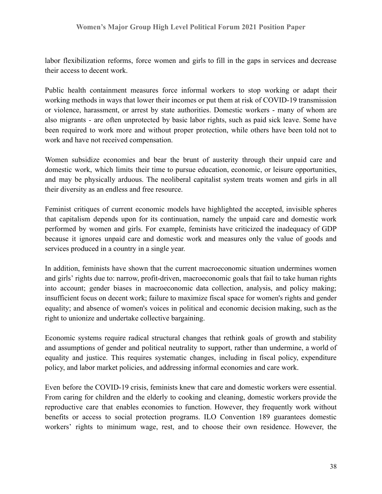labor flexibilization reforms, force women and girls to fill in the gaps in services and decrease their access to decent work.

Public health containment measures force informal workers to stop working or adapt their working methods in ways that lower their incomes or put them at risk of COVID-19 transmission or violence, harassment, or arrest by state authorities. Domestic workers - many of whom are also migrants - are often unprotected by basic labor rights, such as paid sick leave. Some have been required to work more and without proper protection, while others have been told not to work and have not received compensation.

Women subsidize economies and bear the brunt of austerity through their unpaid care and domestic work, which limits their time to pursue education, economic, or leisure opportunities, and may be physically arduous. The neoliberal capitalist system treats women and girls in all their diversity as an endless and free resource.

Feminist critiques of current economic models have highlighted the accepted, invisible spheres that capitalism depends upon for its continuation, namely the unpaid care and domestic work performed by women and girls. For example, feminists have criticized the inadequacy of GDP because it ignores unpaid care and domestic work and measures only the value of goods and services produced in a country in a single year.

In addition, feminists have shown that the current macroeconomic situation undermines women and girls' rights due to: narrow, profit-driven, macroeconomic goals that fail to take human rights into account; gender biases in macroeconomic data collection, analysis, and policy making; insufficient focus on decent work; failure to maximize fiscal space for women's rights and gender equality; and absence of women's voices in political and economic decision making, such as the right to unionize and undertake collective bargaining.

Economic systems require radical structural changes that rethink goals of growth and stability and assumptions of gender and political neutrality to support, rather than undermine, a world of equality and justice. This requires systematic changes, including in fiscal policy, expenditure policy, and labor market policies, and addressing informal economies and care work.

Even before the COVID-19 crisis, feminists knew that care and domestic workers were essential. From caring for children and the elderly to cooking and cleaning, domestic workers provide the reproductive care that enables economies to function. However, they frequently work without benefits or access to social protection programs. ILO Convention 189 guarantees domestic workers' rights to minimum wage, rest, and to choose their own residence. However, the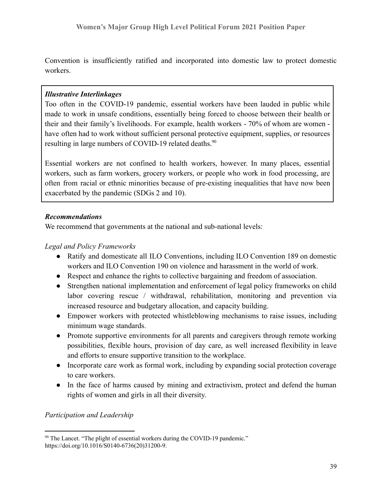Convention is insufficiently ratified and incorporated into domestic law to protect domestic workers.

#### *Illustrative Interlinkages*

Too often in the COVID-19 pandemic, essential workers have been lauded in public while made to work in unsafe conditions, essentially being forced to choose between their health or their and their family's livelihoods. For example, health workers - 70% of whom are women have often had to work without sufficient personal protective equipment, supplies, or resources resulting in large numbers of COVID-19 related deaths.<sup>90</sup>

Essential workers are not confined to health workers, however. In many places, essential workers, such as farm workers, grocery workers, or people who work in food processing, are often from racial or ethnic minorities because of pre-existing inequalities that have now been exacerbated by the pandemic (SDGs 2 and 10).

### *Recommendations*

We recommend that governments at the national and sub-national levels:

### *Legal and Policy Frameworks*

- Ratify and domesticate all ILO Conventions, including ILO Convention 189 on domestic workers and ILO Convention 190 on violence and harassment in the world of work.
- Respect and enhance the rights to collective bargaining and freedom of association.
- Strengthen national implementation and enforcement of legal policy frameworks on child labor covering rescue / withdrawal, rehabilitation, monitoring and prevention via increased resource and budgetary allocation, and capacity building.
- Empower workers with protected whistleblowing mechanisms to raise issues, including minimum wage standards.
- Promote supportive environments for all parents and caregivers through remote working possibilities, flexible hours, provision of day care, as well increased flexibility in leave and efforts to ensure supportive transition to the workplace.
- Incorporate care work as formal work, including by expanding social protection coverage to care workers.
- In the face of harms caused by mining and extractivism, protect and defend the human rights of women and girls in all their diversity.

#### *Participation and Leadership*

<sup>90</sup> The Lancet. "The plight of essential workers during the COVID-19 pandemic." [https://doi.org/10.1016/S0140-6736\(20\)31200-9](https://doi.org/10.1016/S0140-6736(20)31200-9).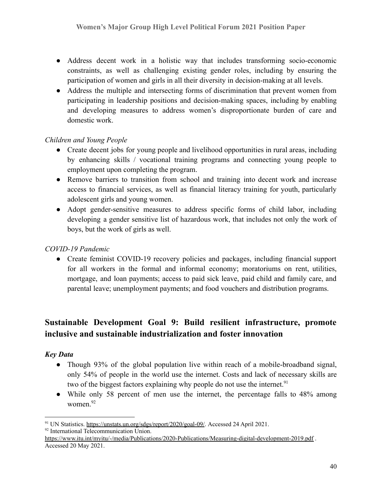- Address decent work in a holistic way that includes transforming socio-economic constraints, as well as challenging existing gender roles, including by ensuring the participation of women and girls in all their diversity in decision-making at all levels.
- Address the multiple and intersecting forms of discrimination that prevent women from participating in leadership positions and decision-making spaces, including by enabling and developing measures to address women's disproportionate burden of care and domestic work.

## *Children and Young People*

- Create decent jobs for young people and livelihood opportunities in rural areas, including by enhancing skills / vocational training programs and connecting young people to employment upon completing the program.
- Remove barriers to transition from school and training into decent work and increase access to financial services, as well as financial literacy training for youth, particularly adolescent girls and young women.
- Adopt gender-sensitive measures to address specific forms of child labor, including developing a gender sensitive list of hazardous work, that includes not only the work of boys, but the work of girls as well.

## *COVID-19 Pandemic*

• Create feminist COVID-19 recovery policies and packages, including financial support for all workers in the formal and informal economy; moratoriums on rent, utilities, mortgage, and loan payments; access to paid sick leave, paid child and family care, and parental leave; unemployment payments; and food vouchers and distribution programs.

# **Sustainable Development Goal 9: Build resilient infrastructure, promote inclusive and sustainable industrialization and foster innovation**

### *Key Data*

- Though 93% of the global population live within reach of a mobile-broadband signal, only 54% of people in the world use the internet. Costs and lack of necessary skills are two of the biggest factors explaining why people do not use the internet.<sup>91</sup>
- While only 58 percent of men use the internet, the percentage falls to 48% among women.<sup>92</sup>

<sup>91</sup> UN Statistics. <https://unstats.un.org/sdgs/report/2020/goal-09/>. Accessed 24 April 2021.

<sup>&</sup>lt;sup>92</sup> International Telecommunication Union.

<https://www.itu.int/myitu/-/media/Publications/2020-Publications/Measuring-digital-development-2019.pdf> . Accessed 20 May 2021.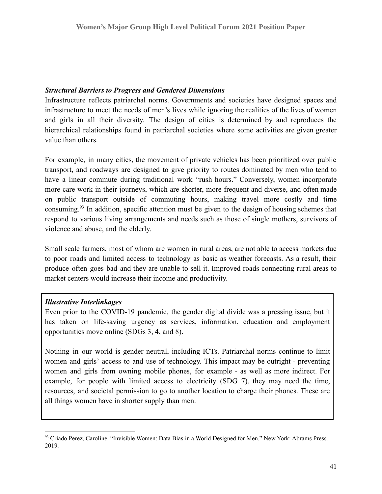#### *Structural Barriers to Progress and Gendered Dimensions*

Infrastructure reflects patriarchal norms. Governments and societies have designed spaces and infrastructure to meet the needs of men's lives while ignoring the realities of the lives of women and girls in all their diversity. The design of cities is determined by and reproduces the hierarchical relationships found in patriarchal societies where some activities are given greater value than others.

For example, in many cities, the movement of private vehicles has been prioritized over public transport, and roadways are designed to give priority to routes dominated by men who tend to have a linear commute during traditional work "rush hours." Conversely, women incorporate more care work in their journeys, which are shorter, more frequent and diverse, and often made on public transport outside of commuting hours, making travel more costly and time consuming.<sup>93</sup> In addition, specific attention must be given to the design of housing schemes that respond to various living arrangements and needs such as those of single mothers, survivors of violence and abuse, and the elderly.

Small scale farmers, most of whom are women in rural areas, are not able to access markets due to poor roads and limited access to technology as basic as weather forecasts. As a result, their produce often goes bad and they are unable to sell it. Improved roads connecting rural areas to market centers would increase their income and productivity.

#### *Illustrative Interlinkages*

Even prior to the COVID-19 pandemic, the gender digital divide was a pressing issue, but it has taken on life-saving urgency as services, information, education and employment opportunities move online (SDGs 3, 4, and 8).

Nothing in our world is gender neutral, including ICTs. Patriarchal norms continue to limit women and girls' access to and use of technology. This impact may be outright - preventing women and girls from owning mobile phones, for example - as well as more indirect. For example, for people with limited access to electricity (SDG 7), they may need the time, resources, and societal permission to go to another location to charge their phones. These are all things women have in shorter supply than men.

<sup>93</sup> Criado Perez, Caroline. "Invisible Women: Data Bias in a World Designed for Men." New York: Abrams Press. 2019.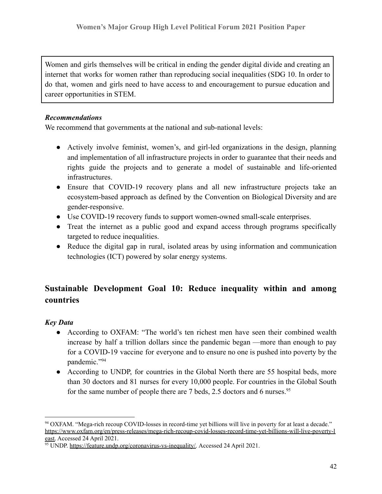Women and girls themselves will be critical in ending the gender digital divide and creating an internet that works for women rather than reproducing social inequalities (SDG 10. In order to do that, women and girls need to have access to and encouragement to pursue education and career opportunities in STEM.

## *Recommendations*

We recommend that governments at the national and sub-national levels:

- Actively involve feminist, women's, and girl-led organizations in the design, planning and implementation of all infrastructure projects in order to guarantee that their needs and rights guide the projects and to generate a model of sustainable and life-oriented infrastructures.
- Ensure that COVID-19 recovery plans and all new infrastructure projects take an ecosystem-based approach as defined by the Convention on Biological Diversity and are gender-responsive.
- Use COVID-19 recovery funds to support women-owned small-scale enterprises.
- Treat the internet as a public good and expand access through programs specifically targeted to reduce inequalities.
- Reduce the digital gap in rural, isolated areas by using information and communication technologies (ICT) powered by solar energy systems.

# **Sustainable Development Goal 10: Reduce inequality within and among countries**

# *Key Data*

- According to OXFAM: "The world's ten richest men have seen their combined wealth increase by half a trillion dollars since the pandemic began —more than enough to pay for a COVID-19 vaccine for everyone and to ensure no one is pushed into poverty by the pandemic."<sup>94</sup>
- According to UNDP, for countries in the Global North there are 55 hospital beds, more than 30 doctors and 81 nurses for every 10,000 people. For countries in the Global South for the same number of people there are 7 beds, 2.5 doctors and 6 nurses.<sup>95</sup>

<sup>94</sup> OXFAM. "Mega-rich recoup COVID-losses in record-time yet billions will live in poverty for at least a decade." [https://www.oxfam.org/en/press-releases/mega-rich-recoup-covid-losses-record-time-yet-billions-will-live-poverty-l](https://www.oxfam.org/en/press-releases/mega-rich-recoup-covid-losses-record-time-yet-billions-will-live-poverty-least) [east.](https://www.oxfam.org/en/press-releases/mega-rich-recoup-covid-losses-record-time-yet-billions-will-live-poverty-least) Accessed 24 April 2021.

<sup>95</sup> UNDP. [https://feature.undp.org/coronavirus-vs-inequality/.](https://feature.undp.org/coronavirus-vs-inequality/) Accessed 24 April 2021.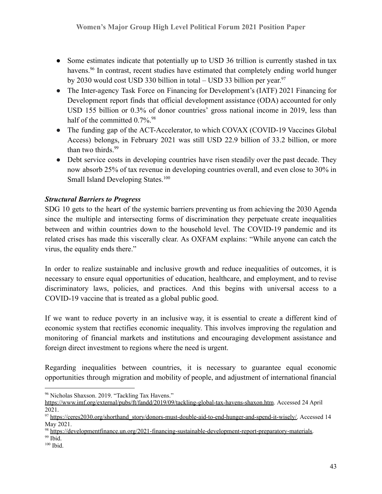- Some estimates indicate that potentially up to USD 36 trillion is currently stashed in tax havens.<sup>96</sup> In contrast, recent studies have estimated that completely ending world hunger by 2030 would cost USD 330 billion in total – USD 33 billion per year.<sup>97</sup>
- The Inter-agency Task Force on Financing for Development's (IATF) 2021 Financing for Development report finds that official development assistance (ODA) accounted for only USD 155 billion or 0.3% of donor countries' gross national income in 2019, less than half of the committed  $0.7\%$ .<sup>98</sup>
- The funding gap of the ACT-Accelerator, to which COVAX (COVID-19 Vaccines Global Access) belongs, in February 2021 was still USD 22.9 billion of 33.2 billion, or more than two thirds.<sup>99</sup>
- Debt service costs in developing countries have risen steadily over the past decade. They now absorb 25% of tax revenue in developing countries overall, and even close to 30% in Small Island Developing States.<sup>100</sup>

# *Structural Barriers to Progress*

SDG 10 gets to the heart of the systemic barriers preventing us from achieving the 2030 Agenda since the multiple and intersecting forms of discrimination they perpetuate create inequalities between and within countries down to the household level. The COVID-19 pandemic and its related crises has made this viscerally clear. As OXFAM explains: "While anyone can catch the virus, the equality ends there."

In order to realize sustainable and inclusive growth and reduce inequalities of outcomes, it is necessary to ensure equal opportunities of education, healthcare, and employment, and to revise discriminatory laws, policies, and practices. And this begins with universal access to a COVID-19 vaccine that is treated as a global public good.

If we want to reduce poverty in an inclusive way, it is essential to create a different kind of economic system that rectifies economic inequality. This involves improving the regulation and monitoring of financial markets and institutions and encouraging development assistance and foreign direct investment to regions where the need is urgent.

Regarding inequalities between countries, it is necessary to guarantee equal economic opportunities through migration and mobility of people, and adjustment of international financial

<sup>96</sup> Nicholas Shaxson. 2019. "Tackling Tax Havens."

<https://www.imf.org/external/pubs/ft/fandd/2019/09/tackling-global-tax-havens-shaxon.htm>. Accessed 24 April 2021.

<sup>97</sup> [https://ceres2030.org/shorthand\\_story/donors-must-double-aid-to-end-hunger-and-spend-it-wisely/.](https://ceres2030.org/shorthand_story/donors-must-double-aid-to-end-hunger-and-spend-it-wisely/) Accessed 14 May 2021.

<sup>98</sup> [https://developmentfinance.un.org/2021-financing-sustainable-development-report-preparatory-materials.](https://developmentfinance.un.org/2021-financing-sustainable-development-report-preparatory-materials)

 $99$  Ibid.

<sup>&</sup>lt;sup>100</sup> Ibid.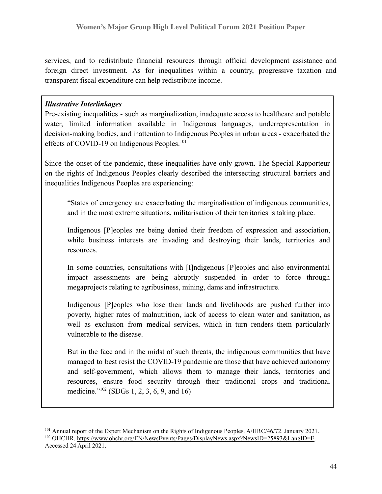services, and to redistribute financial resources through official development assistance and foreign direct investment. As for inequalities within a country, progressive taxation and transparent fiscal expenditure can help redistribute income.

#### *Illustrative Interlinkages*

Pre-existing inequalities - such as marginalization, inadequate access to healthcare and potable water, limited information available in Indigenous languages, underrepresentation in decision-making bodies, and inattention to Indigenous Peoples in urban areas - exacerbated the effects of COVID-19 on Indigenous Peoples.<sup>101</sup>

Since the onset of the pandemic, these inequalities have only grown. The Special Rapporteur on the rights of Indigenous Peoples clearly described the intersecting structural barriers and inequalities Indigenous Peoples are experiencing:

"States of emergency are exacerbating the marginalisation of indigenous communities, and in the most extreme situations, militarisation of their territories is taking place.

Indigenous [P]eoples are being denied their freedom of expression and association, while business interests are invading and destroying their lands, territories and resources.

In some countries, consultations with [I]ndigenous [P]eoples and also environmental impact assessments are being abruptly suspended in order to force through megaprojects relating to agribusiness, mining, dams and infrastructure.

Indigenous [P]eoples who lose their lands and livelihoods are pushed further into poverty, higher rates of malnutrition, lack of access to clean water and sanitation, as well as exclusion from medical services, which in turn renders them particularly vulnerable to the disease.

But in the face and in the midst of such threats, the indigenous communities that have managed to best resist the COVID-19 pandemic are those that have achieved autonomy and self-government, which allows them to manage their lands, territories and resources, ensure food security through their traditional crops and traditional medicine."<sup>102</sup> (SDGs 1, 2, 3, 6, 9, and 16)

<sup>&</sup>lt;sup>102</sup> OHCHR. <https://www.ohchr.org/EN/NewsEvents/Pages/DisplayNews.aspx?NewsID=25893&LangID=E>. Accessed 24 April 2021. <sup>101</sup> Annual report of the Expert Mechanism on the Rights of Indigenous Peoples. A/HRC/46/72. January 2021.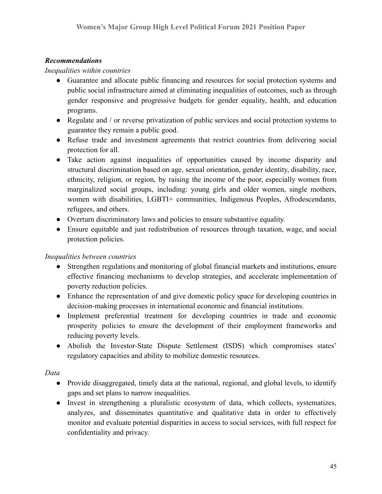#### *Recommendations*

*Inequalities within countries*

- Guarantee and allocate public financing and resources for social protection systems and public social infrastructure aimed at eliminating inequalities of outcomes, such as through gender responsive and progressive budgets for gender equality, health, and education programs.
- Regulate and / or reverse privatization of public services and social protection systems to guarantee they remain a public good.
- Refuse trade and investment agreements that restrict countries from delivering social protection for all.
- Take action against inequalities of opportunities caused by income disparity and structural discrimination based on age, sexual orientation, gender identity, disability, race, ethnicity, religion, or region, by raising the income of the poor, especially women from marginalized social groups, including: young girls and older women, single mothers, women with disabilities, LGBTI+ communities, Indigenous Peoples, Afrodescendants, refugees, and others.
- Overturn discriminatory laws and policies to ensure substantive equality.
- Ensure equitable and just redistribution of resources through taxation, wage, and social protection policies.

#### *Inequalities between countries*

- Strengthen regulations and monitoring of global financial markets and institutions, ensure effective financing mechanisms to develop strategies, and accelerate implementation of poverty reduction policies.
- Enhance the representation of and give domestic policy space for developing countries in decision-making processes in international economic and financial institutions.
- Implement preferential treatment for developing countries in trade and economic prosperity policies to ensure the development of their employment frameworks and reducing poverty levels.
- Abolish the Investor-State Dispute Settlement (ISDS) which compromises states' regulatory capacities and ability to mobilize domestic resources.

#### *Data*

- Provide disaggregated, timely data at the national, regional, and global levels, to identify gaps and set plans to narrow inequalities.
- Invest in strengthening a pluralistic ecosystem of data, which collects, systematizes, analyzes, and disseminates quantitative and qualitative data in order to effectively monitor and evaluate potential disparities in access to social services, with full respect for confidentiality and privacy.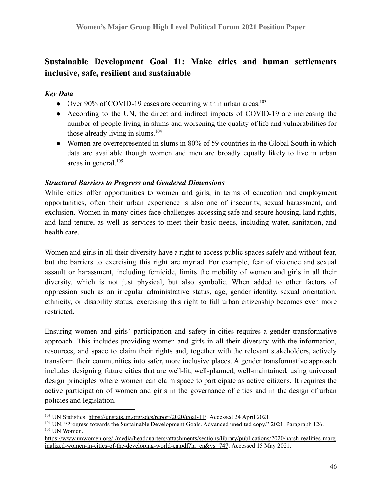# **Sustainable Development Goal 11: Make cities and human settlements inclusive, safe, resilient and sustainable**

### *Key Data*

- Over 90% of COVID-19 cases are occurring within urban areas.<sup>103</sup>
- According to the UN, the direct and indirect impacts of COVID-19 are increasing the number of people living in slums and worsening the quality of life and vulnerabilities for those already living in slums. $104$
- Women are overrepresented in slums in 80% of 59 countries in the Global South in which data are available though women and men are broadly equally likely to live in urban areas in general. $105$

#### *Structural Barriers to Progress and Gendered Dimensions*

While cities offer opportunities to women and girls, in terms of education and employment opportunities, often their urban experience is also one of insecurity, sexual harassment, and exclusion. Women in many cities face challenges accessing safe and secure housing, land rights, and land tenure, as well as services to meet their basic needs, including water, sanitation, and health care.

Women and girls in all their diversity have a right to access public spaces safely and without fear, but the barriers to exercising this right are myriad. For example, fear of violence and sexual assault or harassment, including femicide, limits the mobility of women and girls in all their diversity, which is not just physical, but also symbolic. When added to other factors of oppression such as an irregular administrative status, age, gender identity, sexual orientation, ethnicity, or disability status, exercising this right to full urban citizenship becomes even more restricted.

Ensuring women and girls' participation and safety in cities requires a gender transformative approach. This includes providing women and girls in all their diversity with the information, resources, and space to claim their rights and, together with the relevant stakeholders, actively transform their communities into safer, more inclusive places. A gender transformative approach includes designing future cities that are well-lit, well-planned, well-maintained, using universal design principles where women can claim space to participate as active citizens. It requires the active participation of women and girls in the governance of cities and in the design of urban policies and legislation.

<sup>&</sup>lt;sup>103</sup> UN Statistics. [https://unstats.un.org/sdgs/report/2020/goal-11/.](https://unstats.un.org/sdgs/report/2020/goal-11/) Accessed 24 April 2021.

<sup>105</sup> UN Women. <sup>104</sup> UN. "Progress towards the Sustainable Development Goals. Advanced unedited copy." 2021. Paragraph 126.

[https://www.unwomen.org/-/media/headquarters/attachments/sections/library/publications/2020/harsh-realities-marg](https://www.unwomen.org/-/media/headquarters/attachments/sections/library/publications/2020/harsh-realities-marginalized-women-in-cities-of-the-developing-world-en.pdf?la=en&vs=747) [inalized-women-in-cities-of-the-developing-world-en.pdf?la=en&vs=747](https://www.unwomen.org/-/media/headquarters/attachments/sections/library/publications/2020/harsh-realities-marginalized-women-in-cities-of-the-developing-world-en.pdf?la=en&vs=747). Accessed 15 May 2021.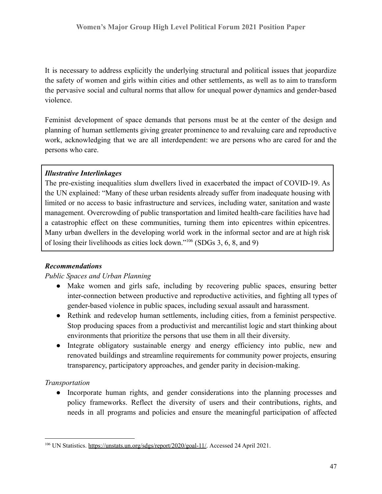It is necessary to address explicitly the underlying structural and political issues that jeopardize the safety of women and girls within cities and other settlements, as well as to aim to transform the pervasive social and cultural norms that allow for unequal power dynamics and gender-based violence.

Feminist development of space demands that persons must be at the center of the design and planning of human settlements giving greater prominence to and revaluing care and reproductive work, acknowledging that we are all interdependent: we are persons who are cared for and the persons who care.

#### *Illustrative Interlinkages*

The pre-existing inequalities slum dwellers lived in exacerbated the impact of COVID-19. As the UN explained: "Many of these urban residents already suffer from inadequate housing with limited or no access to basic infrastructure and services, including water, sanitation and waste management. Overcrowding of public transportation and limited health-care facilities have had a catastrophic effect on these communities, turning them into epicentres within epicentres. Many urban dwellers in the developing world work in the informal sector and are at high risk of losing their livelihoods as cities lock down."<sup>106</sup> (SDGs 3, 6, 8, and 9)

### *Recommendations*

#### *Public Spaces and Urban Planning*

- Make women and girls safe, including by recovering public spaces, ensuring better inter-connection between productive and reproductive activities, and fighting all types of gender-based violence in public spaces, including sexual assault and harassment.
- Rethink and redevelop human settlements, including cities, from a feminist perspective. Stop producing spaces from a productivist and mercantilist logic and start thinking about environments that prioritize the persons that use them in all their diversity.
- Integrate obligatory sustainable energy and energy efficiency into public, new and renovated buildings and streamline requirements for community power projects, ensuring transparency, participatory approaches, and gender parity in decision-making.

#### *Transportation*

● Incorporate human rights, and gender considerations into the planning processes and policy frameworks. Reflect the diversity of users and their contributions, rights, and needs in all programs and policies and ensure the meaningful participation of affected

<sup>&</sup>lt;sup>106</sup> UN Statistics. [https://unstats.un.org/sdgs/report/2020/goal-11/.](https://unstats.un.org/sdgs/report/2020/goal-11/) Accessed 24 April 2021.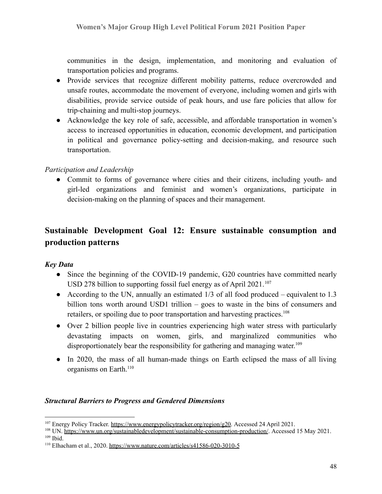communities in the design, implementation, and monitoring and evaluation of transportation policies and programs.

- Provide services that recognize different mobility patterns, reduce overcrowded and unsafe routes, accommodate the movement of everyone, including women and girls with disabilities, provide service outside of peak hours, and use fare policies that allow for trip-chaining and multi-stop journeys.
- Acknowledge the key role of safe, accessible, and affordable transportation in women's access to increased opportunities in education, economic development, and participation in political and governance policy-setting and decision-making, and resource such transportation.

#### *Participation and Leadership*

• Commit to forms of governance where cities and their citizens, including youth- and girl-led organizations and feminist and women's organizations, participate in decision-making on the planning of spaces and their management.

# **Sustainable Development Goal 12: Ensure sustainable consumption and production patterns**

### *Key Data*

- Since the beginning of the COVID-19 pandemic, G20 countries have committed nearly USD 278 billion to supporting fossil fuel energy as of April  $2021$ .<sup>107</sup>
- According to the UN, annually an [estimated](http://www.fao.org/policy-support/policy-themes/food-loss-food-waste/en/)  $1/3$  of all food produced equivalent to 1.3 billion tons worth around USD1 trillion – goes to waste in the bins of consumers and retailers, or spoiling due to poor transportation and harvesting practices.<sup>108</sup>
- Over 2 billion [people](https://www.unwater.org/publications/world-water-development-report-2019/) live in countries experiencing high water stress with particularly devastating impacts on women, girls, and marginalized communities who disproportionately bear the responsibility for gathering and managing water.<sup>109</sup>
- In 2020, the mass of all human-made things on Earth eclipsed the mass of all living organisms on Earth.<sup>110</sup>

#### *Structural Barriers to Progress and Gendered Dimensions*

<sup>107</sup> Energy Policy Tracker. <https://www.energypolicytracker.org/region/g20>. Accessed 24 April 2021.

 $109$  Ibid. <sup>108</sup> UN. <https://www.un.org/sustainabledevelopment/sustainable-consumption-production/>. Accessed 15 May 2021.

<sup>110</sup> Elhacham et al., 2020. <https://www.nature.com/articles/s41586-020-3010-5>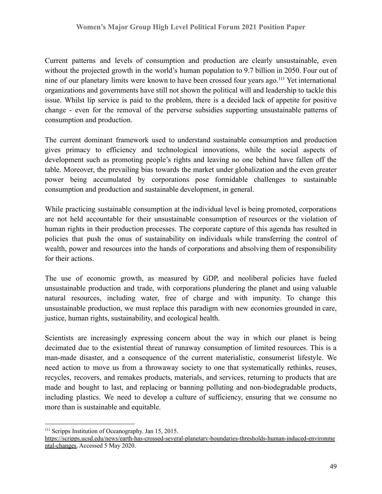Current patterns and levels of consumption and production are clearly unsustainable, even without the projected growth in the world's human population to 9.7 billion in 2050. Four out of nine of our planetary limits were known to have been crossed four years ago.<sup>111</sup> Yet international organizations and governments have still not shown the political will and leadership to tackle this issue. Whilst lip service is paid to the problem, there is a decided lack of appetite for positive change - even for the removal of the perverse subsidies supporting unsustainable patterns of consumption and production.

The current dominant framework used to understand sustainable consumption and production gives primacy to efficiency and technological innovations, while the social aspects of development such as promoting people's rights and leaving no one behind have fallen off the table. Moreover, the prevailing bias towards the market under globalization and the even greater power being accumulated by corporations pose formidable challenges to sustainable consumption and production and sustainable development, in general.

While practicing sustainable consumption at the individual level is being promoted, corporations are not held accountable for their unsustainable consumption of resources or the violation of human rights in their production processes. The corporate capture of this agenda has resulted in policies that push the onus of sustainability on individuals while transferring the control of wealth, power and resources into the hands of corporations and absolving them of responsibility for their actions.

The use of economic growth, as measured by GDP, and neoliberal policies have fueled unsustainable production and trade, with corporations plundering the planet and using valuable natural resources, including water, free of charge and with impunity. To change this unsustainable production, we must replace this paradigm with new economies grounded in care, justice, human rights, sustainability, and ecological health.

Scientists are increasingly expressing concern about the way in which our planet is being decimated due to the existential threat of runaway consumption of limited resources. This is a man-made disaster, and a consequence of the current materialistic, consumerist lifestyle. We need action to move us from a throwaway society to one that systematically rethinks, reuses, recycles, recovers, and remakes products, materials, and services, returning to products that are made and bought to last, and replacing or banning polluting and non-biodegradable products, including plastics. We need to develop a culture of sufficiency, ensuring that we consume no more than is sustainable and equitable.

<sup>&</sup>lt;sup>111</sup> Scripps Institution of Oceanography. Jan 15, 2015.

[https://scripps.ucsd.edu/news/earth-has-crossed-several-planetary-boundaries-thresholds-human-induced-environme](https://scripps.ucsd.edu/news/earth-has-crossed-several-planetary-boundaries-thresholds-human-induced-environmental-changes) [ntal-changes.](https://scripps.ucsd.edu/news/earth-has-crossed-several-planetary-boundaries-thresholds-human-induced-environmental-changes) Accessed 5 May 2020.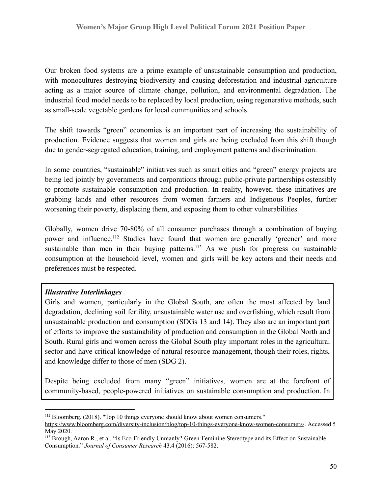Our broken food systems are a prime example of unsustainable consumption and production, with monocultures destroying biodiversity and causing deforestation and industrial agriculture acting as a major source of climate change, pollution, and environmental degradation. The industrial food model needs to be replaced by local production, using regenerative methods, such as small-scale vegetable gardens for local communities and schools.

The shift towards "green" economies is an important part of increasing the sustainability of production. Evidence suggests that women and girls are being excluded from this shift though due to gender-segregated education, training, and employment patterns and discrimination.

In some countries, "sustainable" initiatives such as smart cities and "green" energy projects are being led jointly by governments and corporations through public-private partnerships ostensibly to promote sustainable consumption and production. In reality, however, these initiatives are grabbing lands and other resources from women farmers and Indigenous Peoples, further worsening their poverty, displacing them, and exposing them to other vulnerabilities.

Globally, women drive 70-80% of all consumer purchases through a combination of buying power and influence.<sup>112</sup> Studies have found that women are generally 'greener' and more sustainable than men in their buying patterns.<sup>113</sup> As we push for progress on sustainable consumption at the household level, women and girls will be key actors and their needs and preferences must be respected.

### *Illustrative Interlinkages*

Girls and women, particularly in the Global South, are often the most affected by land degradation, declining soil fertility, unsustainable water use and overfishing, which result from unsustainable production and consumption (SDGs 13 and 14). They also are an important part of efforts to improve the sustainability of production and consumption in the Global North and South. Rural girls and women across the Global South play important roles in the agricultural sector and have critical knowledge of natural resource management, though their roles, rights, and knowledge differ to those of men (SDG 2).

Despite being excluded from many "green" initiatives, women are at the forefront of community-based, people-powered initiatives on sustainable consumption and production. In

<sup>&</sup>lt;sup>112</sup> Bloomberg. (2018). "Top 10 things everyone should know about women consumers."

<https://www.bloomberg.com/diversity-inclusion/blog/top-10-things-everyone-know-women-consumers/>. Accessed 5 May 2020.

<sup>113</sup> Brough, Aaron R., et al. "Is Eco-Friendly Unmanly? Green-Feminine Stereotype and its Effect on Sustainable Consumption." *Journal of Consumer Research* 43.4 (2016): 567-582.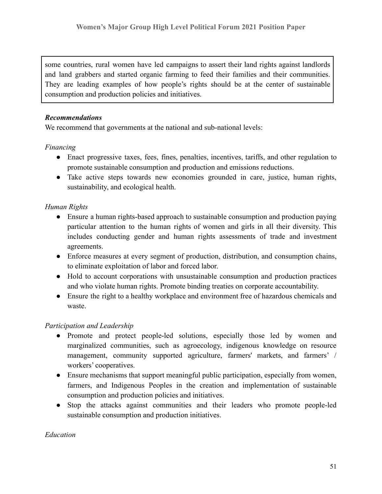some countries, rural women have led campaigns to assert their land rights against landlords and land grabbers and started organic farming to feed their families and their communities. They are leading examples of how people's rights should be at the center of sustainable consumption and production policies and initiatives.

#### *Recommendations*

We recommend that governments at the national and sub-national levels:

### *Financing*

- Enact progressive taxes, fees, fines, penalties, incentives, tariffs, and other regulation to promote sustainable consumption and production and emissions reductions.
- Take active steps towards new economies grounded in care, justice, human rights, sustainability, and ecological health.

### *Human Rights*

- Ensure a human rights-based approach to sustainable consumption and production paying particular attention to the human rights of women and girls in all their diversity. This includes conducting gender and human rights assessments of trade and investment agreements.
- Enforce measures at every segment of production, distribution, and consumption chains, to eliminate exploitation of labor and forced labor.
- Hold to account corporations with unsustainable consumption and production practices and who violate human rights. Promote binding treaties on corporate accountability.
- Ensure the right to a healthy workplace and environment free of hazardous chemicals and waste.

### *Participation and Leadership*

- Promote and protect people-led solutions, especially those led by women and marginalized communities, such as agroecology, indigenous knowledge on resource management, community supported agriculture, farmers' markets, and farmers' / workers' cooperatives.
- Ensure mechanisms that support meaningful public participation, especially from women, farmers, and Indigenous Peoples in the creation and implementation of sustainable consumption and production policies and initiatives.
- Stop the attacks against communities and their leaders who promote people-led sustainable consumption and production initiatives.

#### *Education*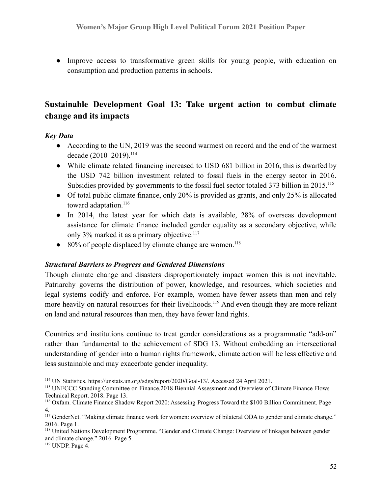● Improve access to transformative green skills for young people, with education on consumption and production patterns in schools.

# **Sustainable Development Goal 13: Take urgent action to combat climate change and its impacts**

#### *Key Data*

- According to the UN, 2019 was the second warmest on record and the end of the warmest decade (2010–2019).<sup>114</sup>
- While climate related financing increased to USD 681 billion in 2016, this is dwarfed by the USD 742 billion investment related to fossil fuels in the energy sector in 2016. Subsidies provided by governments to the fossil fuel sector totaled 373 billion in 2015.<sup>115</sup>
- Of total public climate finance, only 20% is provided as grants, and only 25% is allocated toward adaptation.<sup>116</sup>
- In 2014, the latest year for which data is available, 28% of overseas development assistance for climate finance included gender equality as a secondary objective, while only 3% marked it as a primary objective.<sup>117</sup>
- $\bullet$  80% of people displaced by climate change are women.<sup>118</sup>

#### *Structural Barriers to Progress and Gendered Dimensions*

Though climate change and disasters disproportionately impact women this is not inevitable. Patriarchy governs the distribution of power, knowledge, and resources, which societies and legal systems codify and enforce. For example, women have fewer assets than men and rely more heavily on natural resources for their livelihoods.<sup>119</sup> And even though they are more reliant on land and natural resources than men, they have fewer land rights.

Countries and institutions continue to treat gender considerations as a programmatic "add-on" rather than fundamental to the achievement of SDG 13. Without embedding an intersectional understanding of gender into a human rights framework, climate action will be less effective and less sustainable and may exacerbate gender inequality.

<sup>114</sup> UN Statistics. <https://unstats.un.org/sdgs/report/2020/Goal-13/>. Accessed 24 April 2021.

<sup>&</sup>lt;sup>115</sup> UNFCCC Standing Committee on Finance.2018 Biennial Assessment and Overview of Climate Finance Flows Technical Report. 2018. Page 13.

<sup>116</sup> Oxfam. Climate Finance Shadow Report 2020: Assessing Progress Toward the \$100 Billion Commitment. Page 4.

<sup>&</sup>lt;sup>117</sup> GenderNet. "Making climate finance work for women: overview of bilateral ODA to gender and climate change." 2016. Page 1.

<sup>&</sup>lt;sup>118</sup> United Nations Development Programme. "Gender and Climate Change: Overview of linkages between gender and climate change." 2016. Page 5.

<sup>119</sup> UNDP. Page 4.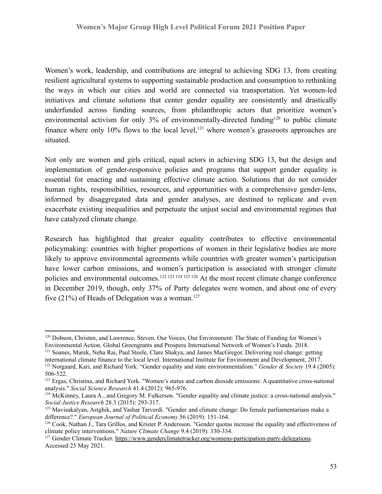Women's work, leadership, and contributions are integral to achieving SDG 13, from creating resilient agricultural systems to supporting sustainable production and consumption to rethinking the ways in which our cities and world are connected via transportation. Yet women-led initiatives and climate solutions that center gender equality are consistently and drastically underfunded across funding sources, from philanthropic actors that prioritize women's environmental activism for only  $3\%$  of environmentally-directed funding<sup>120</sup> to public climate finance where only  $10\%$  flows to the local level,<sup>121</sup> where women's grassroots approaches are situated.

Not only are women and girls critical, equal actors in achieving SDG 13, but the design and implementation of gender-responsive policies and programs that support gender equality is essential for enacting and sustaining effective climate action. Solutions that do not consider human rights, responsibilities, resources, and opportunities with a comprehensive gender-lens, informed by disaggregated data and gender analyses, are destined to replicate and even exacerbate existing inequalities and perpetuate the unjust social and environmental regimes that have catalyzed climate change.

Research has highlighted that greater equality contributes to effective environmental policymaking: countries with higher proportions of women in their legislative bodies are more likely to approve environmental agreements while countries with greater women's participation have lower carbon emissions, and women's participation is associated with stronger climate policies and environmental outcomes.<sup>122</sup> <sup>123</sup> <sup>124</sup> <sup>125</sup> <sup>126</sup> At the most recent climate change conference in December 2019, though, only 37% of Party delegates were women, and about one of every five (21%) of Heads of Delegation was a woman.<sup>127</sup>

<sup>120</sup> Dobson, Christen, and Lawrence, Steven. Our Voices, Our Environment: The State of Funding for Women's Environmental Action. Global Greengrants and Prospera International Network of Women's Funds. 2018.

<sup>&</sup>lt;sup>121</sup> Soanes, Marek, Neha Rai, Paul Steele, Clare Shakya, and James MacGregor. Delivering real change: getting international climate finance to the local level. International Institute for Environment and Development, 2017.

<sup>122</sup> Norgaard, Kari, and Richard York. "Gender equality and state environmentalism." *Gender & Society* 19.4 (2005): 506-522.

<sup>&</sup>lt;sup>123</sup> Ergas, Christina, and Richard York. "Women's status and carbon dioxide emissions: A quantitative cross-national analysis." *Social Science Research* 41.4 (2012): 965-976.

<sup>&</sup>lt;sup>124</sup> McKinney, Laura A., and Gregory M. Fulkerson. "Gender equality and climate justice: a cross-national analysis." *Social Justice Research* 28.3 (2015): 293-317.

<sup>&</sup>lt;sup>125</sup> Mavisakalyan, Astghik, and Yashar Tarverdi. "Gender and climate change: Do female parliamentarians make a difference?." *European Journal of Political Economy* 56 (2019): 151-164.

<sup>126</sup> Cook, Nathan J., Tara Grillos, and Krister P. Andersson. "Gender quotas increase the equality and effectiveness of climate policy interventions." *Nature Climate Change* 9.4 (2019): 330-334.

<sup>&</sup>lt;sup>127</sup> Gender Climate Tracker. <https://www.genderclimatetracker.org/womens-participation-party-delegations>. Accessed 25 May 2021.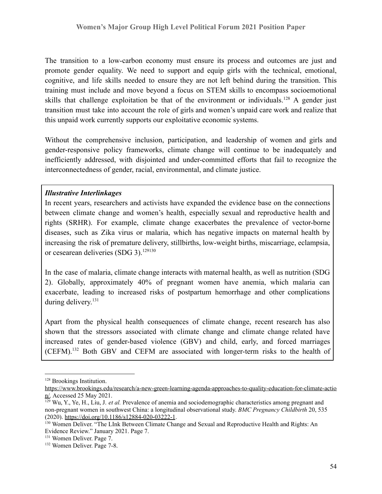The transition to a low-carbon economy must ensure its process and outcomes are just and promote gender equality. We need to support and equip girls with the technical, emotional, cognitive, and life skills needed to ensure they are not left behind during the transition. This training must include and move beyond a focus on STEM skills to encompass socioemotional skills that challenge exploitation be that of the environment or individuals.<sup>128</sup> A gender just transition must take into account the role of girls and women's unpaid care work and realize that this unpaid work currently supports our exploitative economic systems.

Without the comprehensive inclusion, participation, and leadership of women and girls and gender-responsive policy frameworks, climate change will continue to be inadequately and inefficiently addressed, with disjointed and under-committed efforts that fail to recognize the interconnectedness of gender, racial, environmental, and climate justice.

#### *Illustrative Interlinkages*

In recent years, researchers and activists have expanded the evidence base on the connections between climate change and women's health, especially sexual and reproductive health and rights (SRHR). For example, climate change exacerbates the prevalence of vector-borne diseases, such as Zika virus or malaria, which has negative impacts on maternal health by increasing the risk of premature delivery, stillbirths, low-weight births, miscarriage, eclampsia, or cesearean deliveries (SDG 3).<sup>129130</sup>

In the case of malaria, climate change interacts with maternal health, as well as nutrition (SDG 2). Globally, approximately 40% of pregnant women have anemia, which malaria can exacerbate, leading to increased risks of postpartum hemorrhage and other complications during delivery.<sup>131</sup>

Apart from the physical health consequences of climate change, recent research has also shown that the stressors associated with climate change and climate change related have increased rates of gender-based violence (GBV) and child, early, and forced marriages (CEFM).<sup>132</sup> Both GBV and CEFM are associated with longer-term risks to the health of

<sup>128</sup> Brookings Institution.

[https://www.brookings.edu/research/a-new-green-learning-agenda-approaches-to-quality-education-for-climate-actio](https://www.brookings.edu/research/a-new-green-learning-agenda-approaches-to-quality-education-for-climate-action/) [n/.](https://www.brookings.edu/research/a-new-green-learning-agenda-approaches-to-quality-education-for-climate-action/) Accessed 25 May 2021.

<sup>129</sup> Wu, Y., Ye, H., Liu, J. *et al.* Prevalence of anemia and sociodemographic characteristics among pregnant and non-pregnant women in southwest China: a longitudinal observational study. *BMC Pregnancy Childbirth* 20, 535 (2020). <https://doi.org/10.1186/s12884-020-03222-1>.

<sup>&</sup>lt;sup>130</sup> Women Deliver. "The LInk Between Climate Change and Sexual and Reproductive Health and Rights: An Evidence Review." January 2021. Page 7.

<sup>131</sup> Women Deliver. Page 7.

<sup>132</sup> Women Deliver. Page 7-8.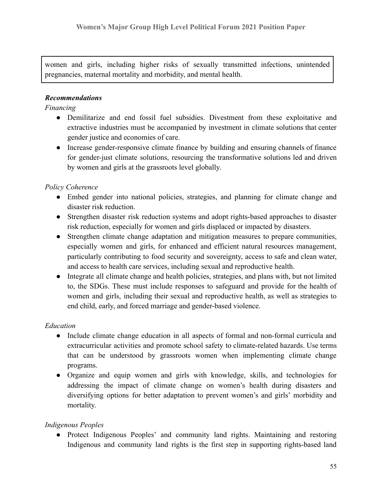women and girls, including higher risks of sexually transmitted infections, unintended pregnancies, maternal mortality and morbidity, and mental health.

## *Recommendations*

### *Financing*

- *●* Demilitarize and end fossil fuel subsidies. Divestment from these exploitative and extractive industries must be accompanied by investment in climate solutions that center gender justice and economies of care.
- Increase gender-responsive climate finance by building and ensuring channels of finance for gender-just climate solutions, resourcing the transformative solutions led and driven by women and girls at the grassroots level globally.

## *Policy Coherence*

- Embed gender into national policies, strategies, and planning for climate change and disaster risk reduction.
- Strengthen disaster risk reduction systems and adopt rights-based approaches to disaster risk reduction, especially for women and girls displaced or impacted by disasters.
- Strengthen climate change adaptation and mitigation measures to prepare communities, especially women and girls, for enhanced and efficient natural resources management, particularly contributing to food security and sovereignty, access to safe and clean water, and access to health care services, including sexual and reproductive health.
- Integrate all climate change and health policies, strategies, and plans with, but not limited to, the SDGs. These must include responses to safeguard and provide for the health of women and girls, including their sexual and reproductive health, as well as strategies to end child, early, and forced marriage and gender-based violence.

# *Education*

- Include climate change education in all aspects of formal and non-formal curricula and extracurricular activities and promote school safety to climate-related hazards. Use terms that can be understood by grassroots women when implementing climate change programs.
- Organize and equip women and girls with knowledge, skills, and technologies for addressing the impact of climate change on women's health during disasters and diversifying options for better adaptation to prevent women's and girls' morbidity and mortality.

### *Indigenous Peoples*

● Protect Indigenous Peoples' and community land rights. Maintaining and restoring Indigenous and community land rights is the first step in supporting rights-based land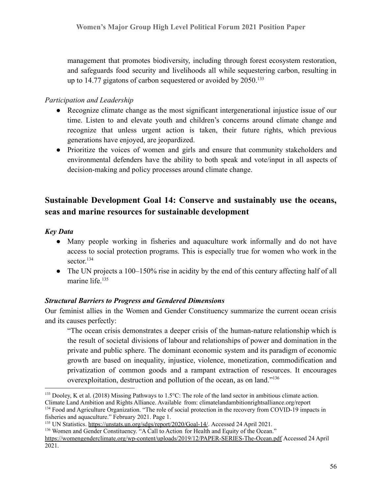management that promotes biodiversity, including through forest ecosystem restoration, and safeguards food security and livelihoods all while sequestering carbon, resulting in up to 14.77 gigatons of carbon sequestered or avoided by  $2050$ <sup>133</sup>

## *Participation and Leadership*

- Recognize climate change as the most significant intergenerational injustice issue of our time. Listen to and elevate youth and children's concerns around climate change and recognize that unless urgent action is taken, their future rights, which previous generations have enjoyed, are jeopardized.
- Prioritize the voices of women and girls and ensure that community stakeholders and environmental defenders have the ability to both speak and vote/input in all aspects of decision-making and policy processes around climate change.

# **Sustainable Development Goal 14: Conserve and sustainably use the oceans, seas and marine resources for sustainable development**

### *Key Data*

- Many people working in fisheries and aquaculture work informally and do not have access to social protection programs. This is especially true for women who work in the sector. 134
- The UN projects a 100–150% rise in acidity by the end of this century affecting half of all marine life  $135$

### *Structural Barriers to Progress and Gendered Dimensions*

Our feminist allies in the Women and Gender Constituency summarize the current ocean crisis and its causes perfectly:

"The ocean crisis demonstrates a deeper crisis of the human-nature relationship which is the result of societal divisions of labour and relationships of power and domination in the private and public sphere. The dominant economic system and its paradigm of economic growth are based on inequality, injustice, violence, monetization, commodification and privatization of common goods and a rampant extraction of resources. It encourages overexploitation, destruction and pollution of the ocean, as on land."<sup>136</sup>

<sup>&</sup>lt;sup>133</sup> Dooley, K et al. (2018) Missing Pathways to 1.5°C: The role of the land sector in ambitious climate action. Climate Land Ambition and Rights Alliance. Available from: climatelandambitionrightsalliance.org/report

<sup>&</sup>lt;sup>134</sup> Food and Agriculture Organization. "The role of social protection in the recovery from COVID-19 impacts in fisheries and aquaculture." February 2021. Page 1.

<sup>135</sup> UN Statistics. <https://unstats.un.org/sdgs/report/2020/Goal-14/>. Accessed 24 April 2021.

<sup>&</sup>lt;sup>136</sup> Women and Gender Constituency. "A Call to Action for Health and Equity of the Ocean."

<https://womengenderclimate.org/wp-content/uploads/2019/12/PAPER-SERIES-The-Ocean.pdf> Accessed 24 April 2021.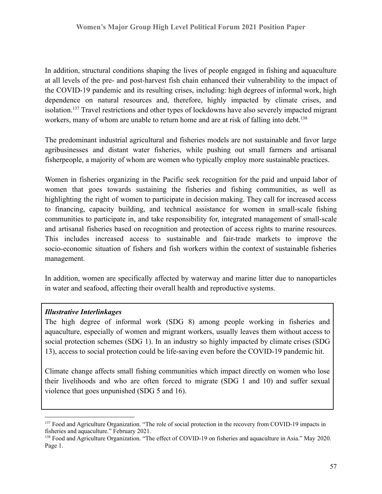In addition, structural conditions shaping the lives of people engaged in fishing and aquaculture at all levels of the pre- and post-harvest fish chain enhanced their vulnerability to the impact of the COVID-19 pandemic and its resulting crises, including: high degrees of informal work, high dependence on natural resources and, therefore, highly impacted by climate crises, and isolation.<sup>137</sup> Travel restrictions and other types of lockdowns have also severely impacted migrant workers, many of whom are unable to return home and are at risk of falling into debt.<sup>138</sup>

The predominant industrial agricultural and fisheries models are not sustainable and favor large agribusinesses and distant water fisheries, while pushing out small farmers and artisanal fisherpeople, a majority of whom are women who typically employ more sustainable practices.

Women in fisheries organizing in the Pacific seek recognition for the paid and unpaid labor of women that goes towards sustaining the fisheries and fishing communities, as well as highlighting the right of women to participate in decision making. They call for increased access to financing, capacity building, and technical assistance for women in small-scale fishing communities to participate in, and take responsibility for, integrated management of small-scale and artisanal fisheries based on recognition and protection of access rights to marine resources. This includes increased access to sustainable and fair-trade markets to improve the socio-economic situation of fishers and fish workers within the context of sustainable fisheries management.

In addition, women are specifically affected by waterway and marine litter due to nanoparticles in water and seafood, affecting their overall health and reproductive systems.

### *Illustrative Interlinkages*

The high degree of informal work (SDG 8) among people working in fisheries and aquaculture, especially of women and migrant workers, usually leaves them without access to social protection schemes (SDG 1). In an industry so highly impacted by climate crises (SDG 13), access to social protection could be life-saving even before the COVID-19 pandemic hit.

Climate change affects small fishing communities which impact directly on women who lose their livelihoods and who are often forced to migrate (SDG 1 and 10) and suffer sexual violence that goes unpunished (SDG 5 and 16).

<sup>&</sup>lt;sup>137</sup> Food and Agriculture Organization. "The role of social protection in the recovery from COVID-19 impacts in fisheries and aquaculture." February 2021.

<sup>&</sup>lt;sup>138</sup> Food and Agriculture Organization. "The effect of COVID-19 on fisheries and aquaculture in Asia." May 2020. Page 1.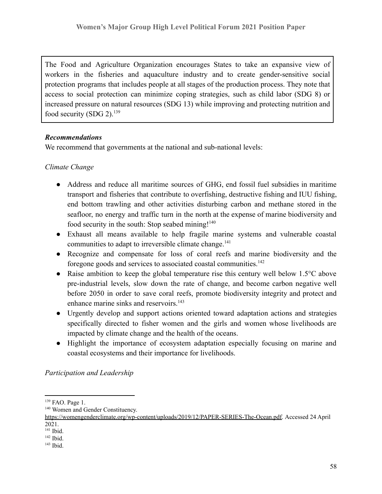The Food and Agriculture Organization encourages States to take an expansive view of workers in the fisheries and aquaculture industry and to create gender-sensitive social protection programs that includes people at all stages of the production process. They note that access to social protection can minimize coping strategies, such as child labor (SDG 8) or increased pressure on natural resources (SDG 13) while improving and protecting nutrition and food security (SDG 2).<sup>139</sup>

## *Recommendations*

We recommend that governments at the national and sub-national levels:

# *Climate Change*

- Address and reduce all maritime sources of GHG, end fossil fuel subsidies in maritime transport and fisheries that contribute to overfishing, destructive fishing and IUU fishing, end bottom trawling and other activities disturbing carbon and methane stored in the seafloor, no energy and traffic turn in the north at the expense of marine biodiversity and food security in the south: Stop seabed mining!<sup>140</sup>
- Exhaust all means available to help fragile marine systems and vulnerable coastal communities to adapt to irreversible climate change.<sup>141</sup>
- Recognize and compensate for loss of coral reefs and marine biodiversity and the foregone goods and services to associated coastal communities.<sup>142</sup>
- Raise ambition to keep the global temperature rise this century well below  $1.5^{\circ}$ C above pre-industrial levels, slow down the rate of change, and become carbon negative well before 2050 in order to save coral reefs, promote biodiversity integrity and protect and enhance marine sinks and reservoirs.<sup>143</sup>
- Urgently develop and support actions oriented toward adaptation actions and strategies specifically directed to fisher women and the girls and women whose livelihoods are impacted by climate change and the health of the oceans.
- Highlight the importance of ecosystem adaptation especially focusing on marine and coastal ecosystems and their importance for livelihoods.

*Participation and Leadership*

<sup>139</sup> FAO. Page 1.

<sup>&</sup>lt;sup>140</sup> Women and Gender Constituency.

[https://womengenderclimate.org/wp-content/uploads/2019/12/PAPER-SERIES-The-Ocean.pdf.](https://womengenderclimate.org/wp-content/uploads/2019/12/PAPER-SERIES-The-Ocean.pdf) Accessed 24 April 2021.

<sup>141</sup> Ibid.

 $142$  Ibid.

<sup>143</sup> Ibid.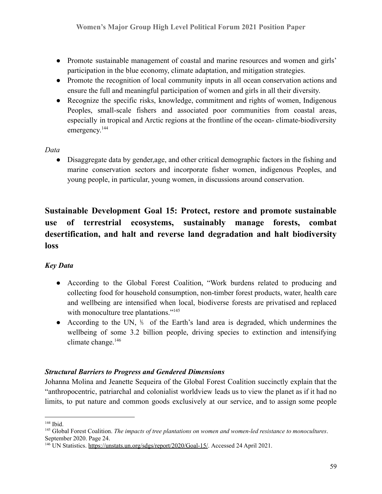- Promote sustainable management of coastal and marine resources and women and girls' participation in the blue economy, climate adaptation, and mitigation strategies.
- Promote the recognition of local community inputs in all ocean conservation actions and ensure the full and meaningful participation of women and girls in all their diversity.
- Recognize the specific risks, knowledge, commitment and rights of women, Indigenous Peoples, small-scale fishers and associated poor communities from coastal areas, especially in tropical and Arctic regions at the frontline of the ocean- climate-biodiversity emergency.<sup>144</sup>

*Data*

● Disaggregate data by gender,age, and other critical demographic factors in the fishing and marine conservation sectors and incorporate fisher women, indigenous Peoples, and young people, in particular, young women, in discussions around conservation.

# **Sustainable Development Goal 15: Protect, restore and promote sustainable use of terrestrial ecosystems, sustainably manage forests, combat desertification, and halt and reverse land degradation and halt biodiversity loss**

# *Key Data*

- According to the Global Forest Coalition, "Work burdens related to producing and collecting food for household consumption, non-timber forest products, water, health care and wellbeing are intensified when local, biodiverse forests are privatised and replaced with monoculture tree plantations."<sup>145</sup>
- According to the UN, <sup>1/3</sup> of the Earth's land area is degraded, which undermines the wellbeing of some 3.2 billion people, driving species to extinction and intensifying climate change.<sup>146</sup>

# *Structural Barriers to Progress and Gendered Dimensions*

Johanna Molina and Jeanette Sequeira of the Global Forest Coalition succinctly explain that the "anthropocentric, patriarchal and colonialist worldview leads us to view the planet as if it had no limits, to put nature and common goods exclusively at our service, and to assign some people

 $144$  Ibid.

<sup>145</sup> Global Forest Coalition. *The impacts of tree plantations on women and women-led resistance to monocultures*. September 2020. Page 24.

<sup>&</sup>lt;sup>146</sup> UN Statistics. <https://unstats.un.org/sdgs/report/2020/Goal-15/>. Accessed 24 April 2021.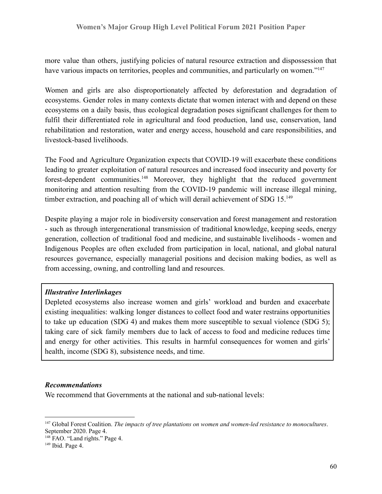more value than others, justifying policies of natural resource extraction and dispossession that have various impacts on territories, peoples and communities, and particularly on women."<sup>147</sup>

Women and girls are also disproportionately affected by deforestation and degradation of ecosystems. Gender roles in many contexts dictate that women interact with and depend on these ecosystems on a daily basis, thus ecological degradation poses significant challenges for them to fulfil their differentiated role in agricultural and food production, land use, conservation, land rehabilitation and restoration, water and energy access, household and care responsibilities, and livestock-based livelihoods.

The Food and Agriculture Organization expects that COVID-19 will exacerbate these conditions leading to greater exploitation of natural resources and increased food insecurity and poverty for forest-dependent communities.<sup>148</sup> Moreover, they highlight that the reduced government monitoring and attention resulting from the COVID-19 pandemic will increase illegal mining, timber extraction, and poaching all of which will derail achievement of SDG 15.<sup>149</sup>

Despite playing a major role in biodiversity conservation and forest management and restoration - such as through intergenerational transmission of traditional knowledge, keeping seeds, energy generation, collection of traditional food and medicine, and sustainable livelihoods - women and Indigenous Peoples are often excluded from participation in local, national, and global natural resources governance, especially managerial positions and decision making bodies, as well as from accessing, owning, and controlling land and resources.

### *Illustrative Interlinkages*

Depleted ecosystems also increase women and girls' workload and burden and exacerbate existing inequalities: walking longer distances to collect food and water restrains opportunities to take up education (SDG 4) and makes them more susceptible to sexual violence (SDG 5); taking care of sick family members due to lack of access to food and medicine reduces time and energy for other activities. This results in harmful consequences for women and girls' health, income (SDG 8), subsistence needs, and time.

#### *Recommendations*

We recommend that Governments at the national and sub-national levels:

<sup>147</sup> Global Forest Coalition. *The impacts of tree plantations on women and women-led resistance to monocultures*. September 2020. Page 4.

<sup>&</sup>lt;sup>148</sup> FAO. "Land rights." Page 4.

 $149$  Ibid. Page 4.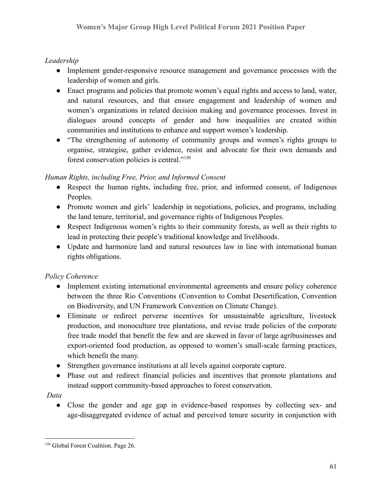# *Leadership*

- Implement gender-responsive resource management and governance processes with the leadership of women and girls.
- Enact programs and policies that promote women's equal rights and access to land, water, and natural resources, and that ensure engagement and leadership of women and women's organizations in related decision making and governance processes. Invest in dialogues around concepts of gender and how inequalities are created within communities and institutions to enhance and support women's leadership.
- "The strengthening of autonomy of community groups and women's rights groups to organise, strategise, gather evidence, resist and advocate for their own demands and forest conservation policies is central."<sup>150</sup>

## *Human Rights, including Free, Prior, and Informed Consent*

- Respect the human rights, including free, prior, and informed consent, of Indigenous Peoples.
- Promote women and girls' leadership in negotiations, policies, and programs, including the land tenure, territorial, and governance rights of Indigenous Peoples.
- Respect Indigenous women's rights to their community forests, as well as their rights to lead in protecting their people's traditional knowledge and livelihoods.
- Update and harmonize land and natural resources law in line with international human rights obligations.

# *Policy Coherence*

- Implement existing international environmental agreements and ensure policy coherence between the three Rio Conventions (Convention to Combat Desertification, Convention on Biodiversity, and UN Framework Convention on Climate Change).
- Eliminate or redirect perverse incentives for unsustainable agriculture, livestock production, and monoculture tree plantations, and revise trade policies of the corporate free trade model that benefit the few and are skewed in favor of large agribusinesses and export-oriented food production, as opposed to women's small-scale farming practices, which benefit the many.
- Strengthen governance institutions at all levels against corporate capture.
- Phase out and redirect financial policies and incentives that promote plantations and instead support community-based approaches to forest conservation.

# *Data*

● Close the gender and age gap in evidence-based responses by collecting sex- and age-disaggregated evidence of actual and perceived tenure security in conjunction with

<sup>&</sup>lt;sup>150</sup> Global Forest Coalition. Page 26.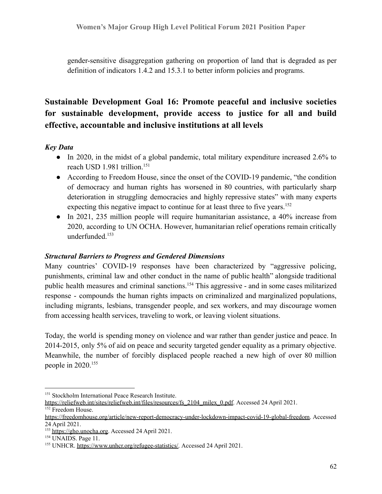gender-sensitive disaggregation gathering on proportion of land that is degraded as per definition of indicators 1.4.2 and 15.3.1 to better inform policies and programs.

# **Sustainable Development Goal 16: Promote peaceful and inclusive societies for sustainable development, provide access to justice for all and build effective, accountable and inclusive institutions at all levels**

### *Key Data*

- In 2020, in the midst of a global pandemic, total military expenditure increased 2.6% to reach USD 1.981 trillion.<sup>151</sup>
- According to Freedom House, since the onset of the COVID-19 pandemic, "the condition of democracy and human rights has worsened in 80 countries, with particularly sharp deterioration in struggling democracies and highly repressive states" with many experts expecting this negative impact to continue for at least three to five years.<sup>152</sup>
- In 2021, 235 million people will require humanitarian assistance, a 40% increase from 2020, according to UN OCHA. However, humanitarian relief operations remain critically underfunded.<sup>153</sup>

### *Structural Barriers to Progress and Gendered Dimensions*

Many countries' COVID-19 responses have been characterized by "aggressive policing, punishments, criminal law and other conduct in the name of public health" alongside traditional public health measures and criminal sanctions.<sup>154</sup> This aggressive - and in some cases militarized response - compounds the human rights impacts on criminalized and marginalized populations, including migrants, lesbians, transgender people, and sex workers, and may discourage women from accessing health services, traveling to work, or leaving violent situations.

Today, the world is spending money on violence and war rather than gender justice and peace. In 2014-2015, only 5% of aid on peace and security targeted gender equality as a primary objective. Meanwhile, the number of forcibly displaced people reached a new high of over 80 million people in 2020.<sup>155</sup>

<sup>&</sup>lt;sup>151</sup> Stockholm International Peace Research Institute.

<sup>&</sup>lt;sup>152</sup> Freedom House. [https://reliefweb.int/sites/reliefweb.int/files/resources/fs\\_2104\\_milex\\_0.pdf.](https://reliefweb.int/sites/reliefweb.int/files/resources/fs_2104_milex_0.pdf) Accessed 24 April 2021.

[https://freedomhouse.org/article/new-report-democracy-under-lockdown-impact-covid-19-global-freedom.](https://freedomhouse.org/article/new-report-democracy-under-lockdown-impact-covid-19-global-freedom) Accessed 24 April 2021.

<sup>153</sup> <https://gho.unocha.org>. Accessed 24 April 2021.

<sup>&</sup>lt;sup>154</sup> UNAIDS. Page 11.

<sup>&</sup>lt;sup>155</sup> UNHCR. [https://www.unhcr.org/refugee-statistics/.](https://www.unhcr.org/refugee-statistics/) Accessed 24 April 2021.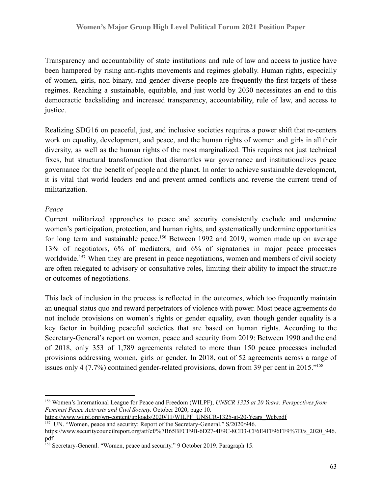Transparency and accountability of state institutions and rule of law and access to justice have been hampered by rising anti-rights movements and regimes globally. Human rights, especially of women, girls, non-binary, and gender diverse people are frequently the first targets of these regimes. Reaching a sustainable, equitable, and just world by 2030 necessitates an end to this democractic backsliding and increased transparency, accountability, rule of law, and access to justice.

Realizing SDG16 on peaceful, just, and inclusive societies requires a power shift that re-centers work on equality, development, and peace, and the human rights of women and girls in all their diversity, as well as the human rights of the most marginalized. This requires not just technical fixes, but structural transformation that dismantles war governance and institutionalizes peace governance for the benefit of people and the planet. In order to achieve sustainable development, it is vital that world leaders end and prevent armed conflicts and reverse the current trend of militarization.

## *Peace*

Current militarized approaches to peace and security consistently exclude and undermine women's participation, protection, and human rights, and systematically undermine opportunities for long term and sustainable peace.<sup>156</sup> Between 1992 and 2019, women made up on average 13% of negotiators, 6% of mediators, and 6% of signatories in major peace processes worldwide.<sup>157</sup> When they are present in peace negotiations, women and members of civil society are often relegated to advisory or consultative roles, limiting their ability to impact the structure or outcomes of negotiations.

This lack of inclusion in the process is reflected in the outcomes, which too frequently maintain an unequal status quo and reward perpetrators of violence with power. Most peace agreements do not include provisions on women's rights or gender equality, even though gender equality is a key factor in building peaceful societies that are based on human rights. According to the Secretary-General's report on women, peace and security from 2019: Between 1990 and the end of 2018, only 353 of 1,789 agreements related to more than 150 peace processes included provisions addressing women, girls or gender. In 2018, out of 52 agreements across a range of issues only 4 (7.7%) contained gender-related provisions, down from 39 per cent in 2015."<sup>158</sup>

[https://www.wilpf.org/wp-content/uploads/2020/11/WILPF\\_UNSCR-1325-at-20-Years\\_Web.pdf](https://www.wilpf.org/wp-content/uploads/2020/11/WILPF_UNSCR-1325-at-20-Years_Web.pdf)

<sup>157</sup> UN. "Women, peace and security: Report of the Secretary-General." S/2020/946.

<sup>156</sup> Women's International League for Peace and Freedom (WILPF), *UNSCR 1325 at 20 Years: Perspectives from Feminist Peace Activists and Civil Society,* October 2020, page 10.

[https://www.securitycouncilreport.org/atf/cf/%7B65BFCF9B-6D27-4E9C-8CD3-CF6E4FF96FF9%7D/s\\_2020\\_946.](https://www.securitycouncilreport.org/atf/cf/%7B65BFCF9B-6D27-4E9C-8CD3-CF6E4FF96FF9%7D/s_2020_946.pdf) [pdf](https://www.securitycouncilreport.org/atf/cf/%7B65BFCF9B-6D27-4E9C-8CD3-CF6E4FF96FF9%7D/s_2020_946.pdf).

<sup>&</sup>lt;sup>158</sup> Secretary-General. "Women, peace and security." 9 October 2019. Paragraph 15.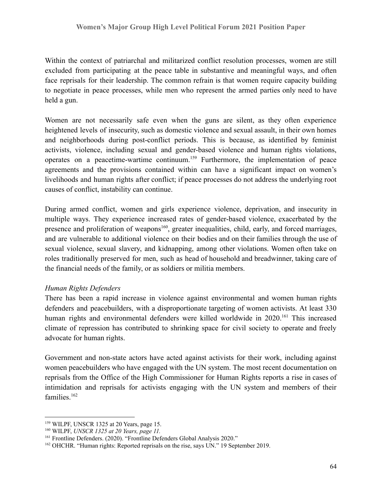Within the context of patriarchal and militarized conflict resolution processes, women are still excluded from participating at the peace table in substantive and meaningful ways, and often face reprisals for their leadership. The common refrain is that women require capacity building to negotiate in peace processes, while men who represent the armed parties only need to have held a gun.

Women are not necessarily safe even when the guns are silent, as they often experience heightened levels of insecurity, such as domestic violence and sexual assault, in their own homes and neighborhoods during post-conflict periods. This is because, as identified by feminist activists, violence, including sexual and gender-based violence and human rights violations, operates on a peacetime-wartime continuum.<sup>159</sup> Furthermore, the implementation of peace agreements and the provisions contained within can have a significant impact on women's livelihoods and human rights after conflict; if peace processes do not address the underlying root causes of conflict, instability can continue.

During armed conflict, women and girls experience violence, deprivation, and insecurity in multiple ways. They experience increased rates of gender-based violence, exacerbated by the presence and proliferation of weapons<sup>160</sup>, greater inequalities, child, early, and forced marriages, and are vulnerable to additional violence on their bodies and on their families through the use of sexual violence, sexual slavery, and kidnapping, among other violations. Women often take on roles traditionally preserved for men, such as head of household and breadwinner, taking care of the financial needs of the family, or as soldiers or militia members.

### *Human Rights Defenders*

There has been a rapid increase in violence against environmental and women human rights defenders and peacebuilders, with a disproportionate targeting of women activists. At least 330 human rights and environmental defenders were killed worldwide in 2020.<sup>161</sup> This increased climate of repression has contributed to shrinking space for civil society to operate and freely advocate for human rights.

Government and non-state actors have acted against activists for their work, including against women peacebuilders who have engaged with the UN system. The most recent documentation on reprisals from the Office of the High Commissioner for Human Rights reports a rise in cases of intimidation and reprisals for activists engaging with the UN system and members of their families.<sup>162</sup>

<sup>159</sup> WILPF, UNSCR 1325 at 20 Years, page 15.

<sup>160</sup> WILPF, *UNSCR 1325 at 20 Years, page 11.*

<sup>&</sup>lt;sup>161</sup> Frontline Defenders. (2020). "Frontline Defenders Global Analysis 2020."

<sup>&</sup>lt;sup>162</sup> OHCHR. "Human rights: Reported reprisals on the rise, says UN." 19 September 2019.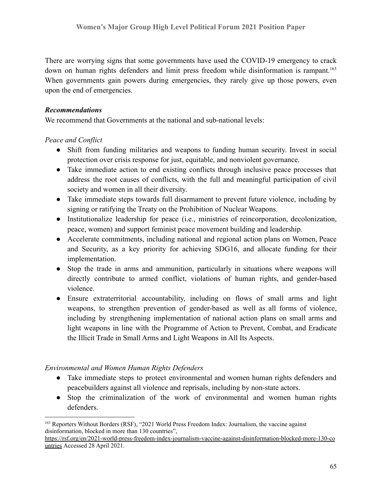There are worrying signs that some governments have used the COVID-19 emergency to crack down on human rights defenders and limit press freedom while disinformation is rampant.<sup>163</sup> When governments gain powers during emergencies, they rarely give up those powers, even upon the end of emergencies.

### *Recommendations*

We recommend that Governments at the national and sub-national levels:

## *Peace and Conflict*

- Shift from funding militaries and weapons to funding human security. Invest in social protection over crisis response for just, equitable, and nonviolent governance.
- Take immediate action to end existing conflicts through inclusive peace processes that address the root causes of conflicts, with the full and meaningful participation of civil society and women in all their diversity.
- Take immediate steps towards full disarmament to prevent future violence, including by signing or ratifying the Treaty on the Prohibition of Nuclear Weapons.
- Institutionalize leadership for peace (i.e., ministries of reincorporation, decolonization, peace, women) and support feminist peace movement building and leadership.
- Accelerate commitments, including national and regional action plans on Women, Peace and Security, as a key priority for achieving SDG16, and allocate funding for their implementation.
- Stop the trade in arms and ammunition, particularly in situations where weapons will directly contribute to armed conflict, violations of human rights, and gender-based violence.
- Ensure extraterritorial accountability, including on flows of small arms and light weapons, to strengthen prevention of gender-based as well as all forms of violence, including by strengthening implementation of national action plans on small arms and light weapons in line with the Programme of Action to Prevent, Combat, and Eradicate the Illicit Trade in Small Arms and Light Weapons in All Its Aspects.

# *Environmental and Women Human Rights Defenders*

- Take immediate steps to protect environmental and women human rights defenders and peacebuilders against all violence and reprisals, including by non-state actors.
- Stop the criminalization of the work of environmental and women human rights defenders.

<sup>163</sup> Reporters Without Borders (RSF), "2021 World Press Freedom Index: Journalism, the vaccine against disinformation, blocked in more than 130 countries",

[https://rsf.org/en/2021-world-press-freedom-index-journalism-vaccine-against-disinformation-blocked-more-130-co](https://rsf.org/en/2021-world-press-freedom-index-journalism-vaccine-against-disinformation-blocked-more-130-countries) [untries](https://rsf.org/en/2021-world-press-freedom-index-journalism-vaccine-against-disinformation-blocked-more-130-countries) Accessed 28 April 2021.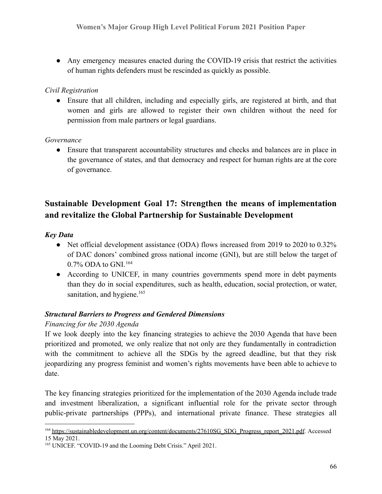• Any emergency measures enacted during the COVID-19 crisis that restrict the activities of human rights defenders must be rescinded as quickly as possible.

## *Civil Registration*

● Ensure that all children, including and especially girls, are registered at birth, and that women and girls are allowed to register their own children without the need for permission from male partners or legal guardians.

## *Governance*

● Ensure that transparent accountability structures and checks and balances are in place in the governance of states, and that democracy and respect for human rights are at the core of governance.

# **Sustainable Development Goal 17: Strengthen the means of implementation and revitalize the Global Partnership for Sustainable Development**

## *Key Data*

- Net official development assistance (ODA) flows increased from 2019 to 2020 to 0.32% of DAC donors' combined gross national income (GNI), but are still below the target of 0.7% ODA to GNI.<sup>164</sup>
- According to UNICEF, in many countries governments spend more in debt payments than they do in social expenditures, such as health, education, social protection, or water, sanitation, and hygiene.<sup>165</sup>

# *Structural Barriers to Progress and Gendered Dimensions*

# *Financing for the 2030 Agenda*

If we look deeply into the key financing strategies to achieve the 2030 Agenda that have been prioritized and promoted, we only realize that not only are they fundamentally in contradiction with the commitment to achieve all the SDGs by the agreed deadline, but that they risk jeopardizing any progress feminist and women's rights movements have been able to achieve to date.

The key financing strategies prioritized for the implementation of the 2030 Agenda include trade and investment liberalization, a significant influential role for the private sector through public-private partnerships (PPPs), and international private finance. These strategies all

<sup>&</sup>lt;sup>164</sup> [https://sustainabledevelopment.un.org/content/documents/27610SG\\_SDG\\_Progress\\_report\\_2021.pdf](https://sustainabledevelopment.un.org/content/documents/27610SG_SDG_Progress_report_2021.pdf). Accessed 15 May 2021.

<sup>165</sup> UNICEF. "COVID-19 and the Looming Debt Crisis." April 2021.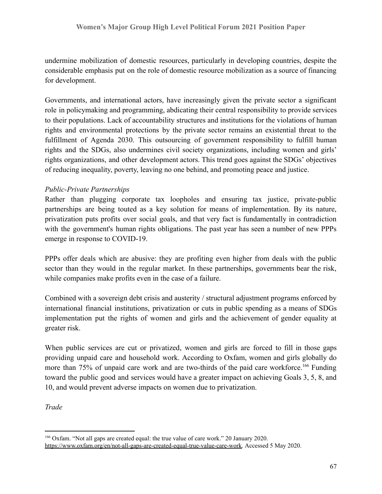undermine mobilization of domestic resources, particularly in developing countries, despite the considerable emphasis put on the role of domestic resource mobilization as a source of financing for development.

Governments, and international actors, have increasingly given the private sector a significant role in policymaking and programming, abdicating their central responsibility to provide services to their populations. Lack of accountability structures and institutions for the violations of human rights and environmental protections by the private sector remains an existential threat to the fulfillment of Agenda 2030. This outsourcing of government responsibility to fulfill human rights and the SDGs, also undermines civil society organizations, including women and girls' rights organizations, and other development actors. This trend goes against the SDGs' objectives of reducing inequality, poverty, leaving no one behind, and promoting peace and justice.

## *Public-Private Partnerships*

Rather than plugging corporate tax loopholes and ensuring tax justice, private-public partnerships are being touted as a key solution for means of implementation. By its nature, privatization puts profits over social goals, and that very fact is fundamentally in contradiction with the government's human rights obligations. The past year has seen a number of new PPPs emerge in response to COVID-19.

PPPs offer deals which are abusive: they are profiting even higher from deals with the public sector than they would in the regular market. In these partnerships, governments bear the risk, while companies make profits even in the case of a failure.

Combined with a sovereign debt crisis and austerity / structural adjustment programs enforced by international financial institutions, privatization or cuts in public spending as a means of SDGs implementation put the rights of women and girls and the achievement of gender equality at greater risk.

When public services are cut or privatized, women and girls are forced to fill in those gaps providing unpaid care and household work. According to Oxfam, women and girls globally do more than 75% of unpaid care work and are two-thirds of the paid care workforce.<sup>166</sup> Funding toward the public good and services would have a greater impact on achieving Goals 3, 5, 8, and 10, and would prevent adverse impacts on women due to privatization.

*Trade*

<sup>166</sup> Oxfam. "Not all gaps are created equal: the true value of care work." 20 January 2020. [https://www.oxfam.org/en/not-all-gaps-are-created-equal-true-value-care-work.](https://www.oxfam.org/en/not-all-gaps-are-created-equal-true-value-care-work) Accessed 5 May 2020.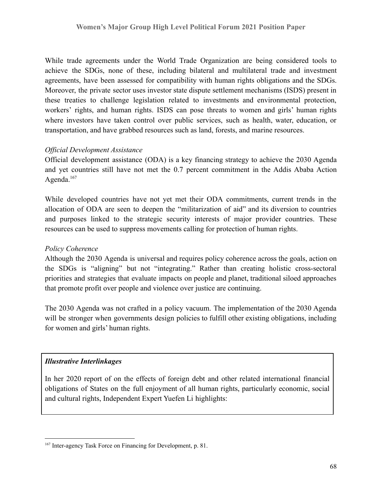While trade agreements under the World Trade Organization are being considered tools to achieve the SDGs, none of these, including bilateral and multilateral trade and investment agreements, have been assessed for compatibility with human rights obligations and the SDGs. Moreover, the private sector uses investor state dispute settlement mechanisms (ISDS) present in these treaties to challenge legislation related to investments and environmental protection, workers' rights, and human rights. ISDS can pose threats to women and girls' human rights where investors have taken control over public services, such as health, water, education, or transportation, and have grabbed resources such as land, forests, and marine resources.

#### *Official Development Assistance*

Official development assistance (ODA) is a key financing strategy to achieve the 2030 Agenda and yet countries still have not met the 0.7 percent commitment in the Addis Ababa Action Agenda.<sup>167</sup>

While developed countries have not yet met their ODA commitments, current trends in the allocation of ODA are seen to deepen the "militarization of aid" and its diversion to countries and purposes linked to the strategic security interests of major provider countries. These resources can be used to suppress movements calling for protection of human rights.

### *Policy Coherence*

Although the 2030 Agenda is universal and requires policy coherence across the goals, action on the SDGs is "aligning" but not "integrating." Rather than creating holistic cross-sectoral priorities and strategies that evaluate impacts on people and planet, traditional siloed approaches that promote profit over people and violence over justice are continuing.

The 2030 Agenda was not crafted in a policy vacuum. The implementation of the 2030 Agenda will be stronger when governments design policies to fulfill other existing obligations, including for women and girls' human rights.

### *Illustrative Interlinkages*

In her 2020 report of on the effects of foreign debt and other related international financial obligations of States on the full enjoyment of all human rights, particularly economic, social and cultural rights, Independent Expert Yuefen Li highlights:

<sup>167</sup> Inter-agency Task Force on Financing for Development, p. 81.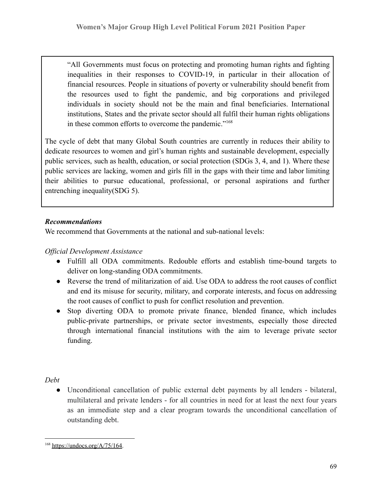"All Governments must focus on protecting and promoting human rights and fighting inequalities in their responses to COVID-19, in particular in their allocation of financial resources. People in situations of poverty or vulnerability should benefit from the resources used to fight the pandemic, and big corporations and privileged individuals in society should not be the main and final beneficiaries. International institutions, States and the private sector should all fulfil their human rights obligations in these common efforts to overcome the pandemic."<sup>168</sup>

The cycle of debt that many Global South countries are currently in reduces their ability to dedicate resources to women and girl's human rights and sustainable development, especially public services, such as health, education, or social protection (SDGs 3, 4, and 1). Where these public services are lacking, women and girls fill in the gaps with their time and labor limiting their abilities to pursue educational, professional, or personal aspirations and further entrenching inequality(SDG 5).

# *Recommendations*

We recommend that Governments at the national and sub-national levels:

## *Official Development Assistance*

- Fulfill all ODA commitments. Redouble efforts and establish time-bound targets to deliver on long-standing ODA commitments.
- Reverse the trend of militarization of aid. Use ODA to address the root causes of conflict and end its misuse for security, military, and corporate interests, and focus on addressing the root causes of conflict to push for conflict resolution and prevention.
- Stop diverting ODA to promote private finance, blended finance, which includes public-private partnerships, or private sector investments, especially those directed through international financial institutions with the aim to leverage private sector funding.

*Debt*

● Unconditional cancellation of public external debt payments by all lenders - bilateral, multilateral and private lenders - for all countries in need for at least the next four years as an immediate step and a clear program towards the unconditional cancellation of outstanding debt.

<sup>168</sup> [https://undocs.org/A/75/164.](https://undocs.org/A/75/164)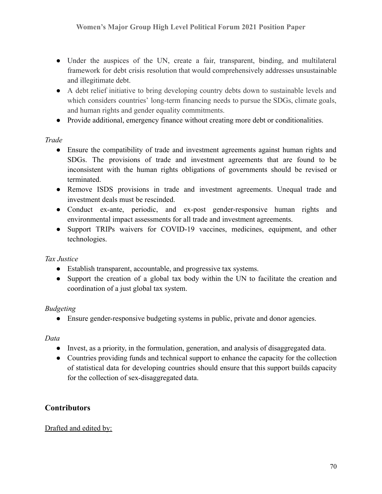- Under the auspices of the UN, create a fair, transparent, binding, and multilateral framework for debt crisis resolution that would comprehensively addresses unsustainable and illegitimate debt.
- A debt relief initiative to bring developing country debts down to sustainable levels and which considers countries' long-term financing needs to pursue the SDGs, climate goals, and human rights and gender equality commitments.
- Provide additional, emergency finance without creating more debt or conditionalities.

## *Trade*

- Ensure the compatibility of trade and investment agreements against human rights and SDGs. The provisions of trade and investment agreements that are found to be inconsistent with the human rights obligations of governments should be revised or terminated.
- Remove ISDS provisions in trade and investment agreements. Unequal trade and investment deals must be rescinded.
- Conduct ex-ante, periodic, and ex-post gender-responsive human rights and environmental impact assessments for all trade and investment agreements.
- Support TRIPs waivers for COVID-19 vaccines, medicines, equipment, and other technologies.

### *Tax Justice*

- Establish transparent, accountable, and progressive tax systems.
- Support the creation of a global tax body within the UN to facilitate the creation and coordination of a just global tax system.

### *Budgeting*

● Ensure gender-responsive budgeting systems in public, private and donor agencies.

### *Data*

- Invest, as a priority, in the formulation, generation, and analysis of disaggregated data.
- Countries providing funds and technical support to enhance the capacity for the collection of statistical data for developing countries should ensure that this support builds capacity for the collection of sex-disaggregated data.

# **Contributors**

### Drafted and edited by: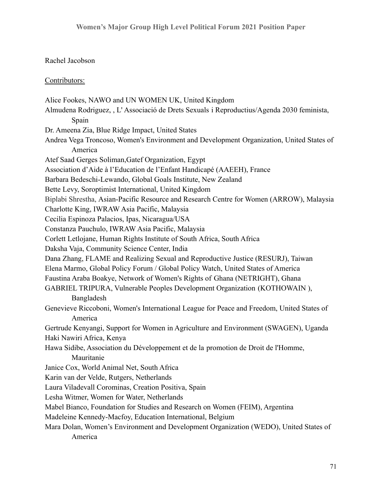#### Rachel Jacobson

#### Contributors:

Alice Fookes, NAWO and UN WOMEN UK, United Kingdom Almudena Rodriguez, , L' Associació de Drets Sexuals i Reproductius/Agenda 2030 feminista, Spain Dr. Ameena Zia, Blue Ridge Impact, United States Andrea Vega Troncoso, Women's Environment and Development Organization, United States of America Atef Saad Gerges Soliman,Gatef Organization, Egypt Association d'Aide à l'Education de l'Enfant Handicapé (AAEEH), France Barbara Bedeschi-Lewando, Global Goals Institute, New Zealand Bette Levy, Soroptimist International, United Kingdom Biplabi Shrestha, Asian-Pacific Resource and Research Centre for Women (ARROW), Malaysia Charlotte King, IWRAW Asia Pacific, Malaysia Cecilia Espinoza Palacios, Ipas, Nicaragua/USA Constanza Pauchulo, IWRAW Asia Pacific, Malaysia Corlett Letlojane, Human Rights Institute of South Africa, South Africa Daksha Vaja, Community Science Center, India Dana Zhang, FLAME and Realizing Sexual and Reproductive Justice (RESURJ), Taiwan Elena Marmo, Global Policy Forum / Global Policy Watch, United States of America Faustina Araba Boakye, Network of Women's Rights of Ghana (NETRIGHT), Ghana GABRIEL TRIPURA, Vulnerable Peoples Development Organization (KOTHOWAIN ), Bangladesh Genevieve Riccoboni, Women's International League for Peace and Freedom, United States of America Gertrude Kenyangi, Support for Women in Agriculture and Environment (SWAGEN), Uganda Haki Nawiri Africa, Kenya Hawa Sidibe, Association du Développement et de la promotion de Droit de l'Homme, Mauritanie Janice Cox, World Animal Net, South Africa Karin van der Velde, Rutgers, Netherlands Laura Viladevall Corominas, Creation Positiva, Spain Lesha Witmer, Women for Water, Netherlands Mabel Bianco, Foundation for Studies and Research on Women (FEIM), Argentina Madeleine Kennedy-Macfoy, Education International, Belgium Mara Dolan, Women's Environment and Development Organization (WEDO), United States of America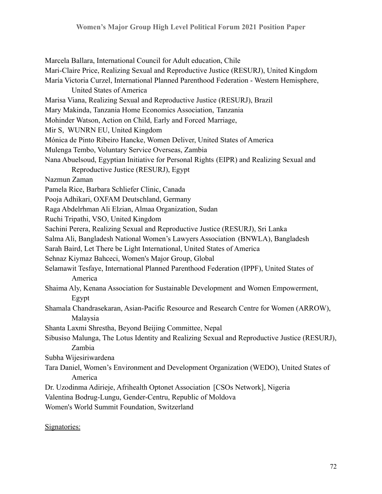Marcela Ballara, International Council for Adult education, Chile Mari-Claire Price, Realizing Sexual and Reproductive Justice (RESURJ), United Kingdom María Victoria Curzel, International Planned Parenthood Federation - Western Hemisphere, United States of America Marisa Viana, Realizing Sexual and Reproductive Justice (RESURJ), Brazil Mary Makinda, Tanzania Home Economics Association, Tanzania Mohinder Watson, Action on Child, Early and Forced Marriage, Mir S, WUNRN EU, United Kingdom Mónica de Pinto Ribeiro Hancke, Women Deliver, United States of America Mulenga Tembo, Voluntary Service Overseas, Zambia Nana Abuelsoud, Egyptian Initiative for Personal Rights (EIPR) and Realizing Sexual and Reproductive Justice (RESURJ), Egypt Nazmun Zaman Pamela Rice, Barbara Schliefer Clinic, Canada Pooja Adhikari, OXFAM Deutschland, Germany Raga Abdelrhman Ali Elzian, Almaa Organization, Sudan Ruchi Tripathi, VSO, United Kingdom Sachini Perera, Realizing Sexual and Reproductive Justice (RESURJ), Sri Lanka Salma Ali, Bangladesh National Women's Lawyers Association (BNWLA), Bangladesh Sarah Baird, Let There be Light International, United States of America Sehnaz Kiymaz Bahceci, Women's Major Group, Global Selamawit Tesfaye, International Planned Parenthood Federation (IPPF), United States of America Shaima Aly, Kenana Association for Sustainable Development and Women Empowerment, Egypt Shamala Chandrasekaran, Asian-Pacific Resource and Research Centre for Women (ARROW), Malaysia Shanta Laxmi Shrestha, Beyond Beijing Committee, Nepal Sibusiso Malunga, The Lotus Identity and Realizing Sexual and Reproductive Justice (RESURJ), Zambia Subha Wijesiriwardena Tara Daniel, Women's Environment and Development Organization (WEDO), United States of America Dr. Uzodinma Adirieje, Afrihealth Optonet Association [CSOs Network], Nigeria Valentina Bodrug-Lungu, Gender-Centru, Republic of Moldova Women's World Summit Foundation, Switzerland

Signatories: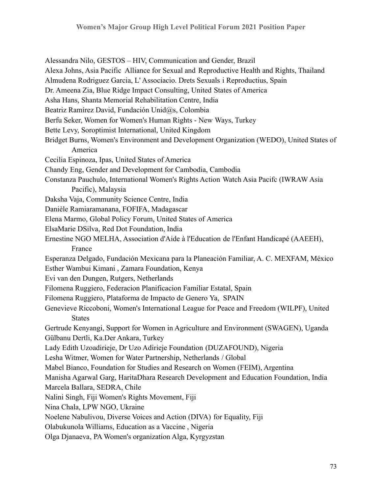Alessandra Nilo, GESTOS – HIV, Communication and Gender, Brazil Alexa Johns, Asia Pacific Alliance for Sexual and Reproductive Health and Rights, Thailand Almudena Rodriguez Garcia, L' Associacio. Drets Sexuals i Reproductius, Spain Dr. Ameena Zia, Blue Ridge Impact Consulting, United States of America Asha Hans, Shanta Memorial Rehabilitation Centre, India Beatriz Ramírez David, Fundación Unid@s, Colombia Berfu Seker, Women for Women's Human Rights - New Ways, Turkey Bette Levy, Soroptimist International, United Kingdom Bridget Burns, Women's Environment and Development Organization (WEDO), United States of America Cecilia Espinoza, Ipas, United States of America Chandy Eng, Gender and Development for Cambodia, Cambodia Constanza Pauchulo, International Women's Rights Action Watch Asia Pacifc (IWRAW Asia Pacific), Malaysia Daksha Vaja, Community Science Centre, India Danièle Ramiaramanana, FOFIFA, Madagascar Elena Marmo, Global Policy Forum, United States of America ElsaMarie DSilva, Red Dot Foundation, India Ernestine NGO MELHA, Association d'Aide à l'Education de l'Enfant Handicapé (AAEEH), France Esperanza Delgado, Fundación Mexicana para la Planeación Familiar, A. C. MEXFAM, México Esther Wambui Kimani , Zamara Foundation, Kenya Evi van den Dungen, Rutgers, Netherlands Filomena Ruggiero, Federacion Planificacion Familiar Estatal, Spain Filomena Ruggiero, Plataforma de Impacto de Genero Ya, SPAIN Genevieve Riccoboni, Women's International League for Peace and Freedom (WILPF), United States Gertrude Kenyangi, Support for Women in Agriculture and Environment (SWAGEN), Uganda Gülbanu Dertli, Ka.Der Ankara, Turkey Lady Edith Uzoadirieje, Dr Uzo Adirieje Foundation (DUZAFOUND), Nigeria Lesha Witmer, Women for Water Partnership, Netherlands / Global Mabel Bianco, Foundation for Studies and Research on Women (FEIM), Argentina Manisha Agarwal Garg, HaritaDhara Research Development and Education Foundation, India Marcela Ballara, SEDRA, Chile Nalini Singh, Fiji Women's Rights Movement, Fiji Nina Chala, LPW NGO, Ukraine Noelene Nabulivou, Diverse Voices and Action (DIVA) for Equality, Fiji Olabukunola Williams, Education as a Vaccine , Nigeria Olga Djanaeva, PA Women's organization Alga, Kyrgyzstan